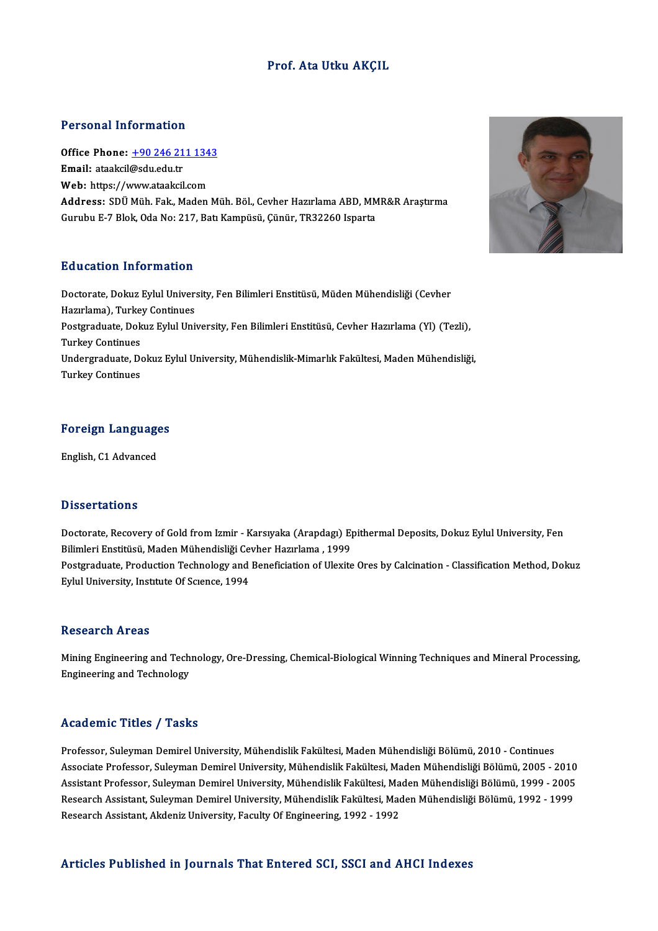### Prof. Ata Utku AKÇIL

### Personal Information

Personal Information<br>Office Phone: <u>+90 246 211 1343</u><br>Email: ataaksi@sdu.edu.tr Fersonar micromation<br>Office Phone: <u>+90 246 21</u><br>Email: ataakcil@sdu.edu.tr Office Phone: <u>+90 246 211 134</u><br>Email: ataakcil@sdu.edu.tr<br>Web: https://[www.ataakcil.com](tel:+90 246 211 1343)<br>Address: SD<sup>II</sup> Müh. Eak. Meden Email: ataakcil@sdu.edu.tr<br>Web: https://www.ataakcil.com<br>Address: SDÜ Müh. Fak., Maden Müh. Böl., Cevher Hazırlama ABD, MMR&R Araştırma<br>Cumbu E 7 Plak. Oda No: 317, Patr Kampüçü, Cüpür, TP33360 Japarta Web: https://www.ataakcil.com<br>Address: SDÜ Müh. Fak., Maden Müh. Böl., Cevher Hazırlama ABD, MM<br>Gurubu E-7 Blok, Oda No: 217, Batı Kampüsü, Çünür, TR32260 Isparta Gurubu E-7 Blok, Oda No: 217, Batı Kampüsü, Çünür, TR32260 Isparta<br>Education Information

Education Information<br>Doctorate, Dokuz Eylul University, Fen Bilimleri Enstitüsü, Müden Mühendisliği (Cevher<br>Harrılama), Turkay Continues Hazırlama), Turkey Mazırlama), Turkey<br>Hazırlama), Turkey Continues<br>Bestanadusta Dalus Eulul Uni Doctorate, Dokuz Eylul University, Fen Bilimleri Enstitüsü, Müden Mühendisliği (Cevher<br>Hazırlama), Turkey Continues<br>Postgraduate, Dokuz Eylul University, Fen Bilimleri Enstitüsü, Cevher Hazırlama (Yl) (Tezli),<br>Turkey Conti Hazırlama), Turkey<br>Postgraduate, Dok<br>Turkey Continues<br>Undersraduate, De Postgraduate, Dokuz Eylul University, Fen Bilimleri Enstitüsü, Cevher Hazırlama (Yl) (Tezli),<br>Turkey Continues<br>Undergraduate, Dokuz Eylul University, Mühendislik-Mimarlık Fakültesi, Maden Mühendisliği,<br>Turkey Continues Turkey Continues<br>Undergraduate, Dokuz Eylul University, Mühendislik-Mimarlık Fakültesi, Maden Mühendisliği,<br>Turkey Continues

# Foreign Languages <mark>Foreign Language</mark><br>English, C1 Advanced

English, C1 Advanced<br>Dissertations

Doctorate, Recovery of Gold from Izmir - Karsıyaka (Arapdagı) Epithermal Deposits, Dokuz Eylul University, Fen Bilimleri<br>Bilimleri Enstitüsü, Maden Mühendisliği Cevher Hazırlama , 1999<br>Bilimleri Enstitüsü, Maden Mühendisliği Cevher Hazırlama , 1999<br>Bestanaduata Preduction Technology and Baneficiation of Illevite Postgraduate, Production Technology and Beneficiation of Ulexite Ores by Calcination - Classification Method, Dokuz<br>Eylul University, Institute Of Science, 1994 Bilimleri Enstitüsü, Maden Mühendisliği Ce<br>Postgraduate, Production Technology and<br>Eylul University, Institute Of Scıence, 1994

### Research Areas

Research Areas<br>Mining Engineering and Technology, Ore-Dressing, Chemical-Biological Winning Techniques and Mineral Processing,<br>Engineering and Technology Resear en 111 eas<br>Mining Engineering and Tech<br>Engineering and Technology Engineering and Technology<br>Academic Titles / Tasks

Professor, Suleyman Demirel University, Mühendislik Fakültesi, Maden Mühendisliği Bölümü, 2010 - Continues Associate Articus 7 Austis<br>Professor, Suleyman Demirel University, Mühendislik Fakültesi, Maden Mühendisliği Bölümü, 2010 - Continues<br>Associate Professor, Suleyman Demirel University, Mühendislik Fakültesi, Maden Mühendisl Professor, Suleyman Demirel University, Mühendislik Fakültesi, Maden Mühendisliği Bölümü, 2010 - Continues<br>Associate Professor, Suleyman Demirel University, Mühendislik Fakültesi, Maden Mühendisliği Bölümü, 2005 - 2010<br>Ass Associate Professor, Suleyman Demirel University, Mühendislik Fakültesi, Maden Mühendisliği Bölümü, 2005 - 2010<br>Assistant Professor, Suleyman Demirel University, Mühendislik Fakültesi, Maden Mühendisliği Bölümü, 1999 - 200 Assistant Professor, Suleyman Demirel University, Mühendislik Fakültesi, Maden Mühendisliği Bölümü, 1999 - 2005<br>Research Assistant, Suleyman Demirel University, Mühendislik Fakültesi, Maden Mühendisliği Bölümü, 1992 - 1999

### Articles Published in Journals That Entered SCI, SSCI and AHCI Indexes

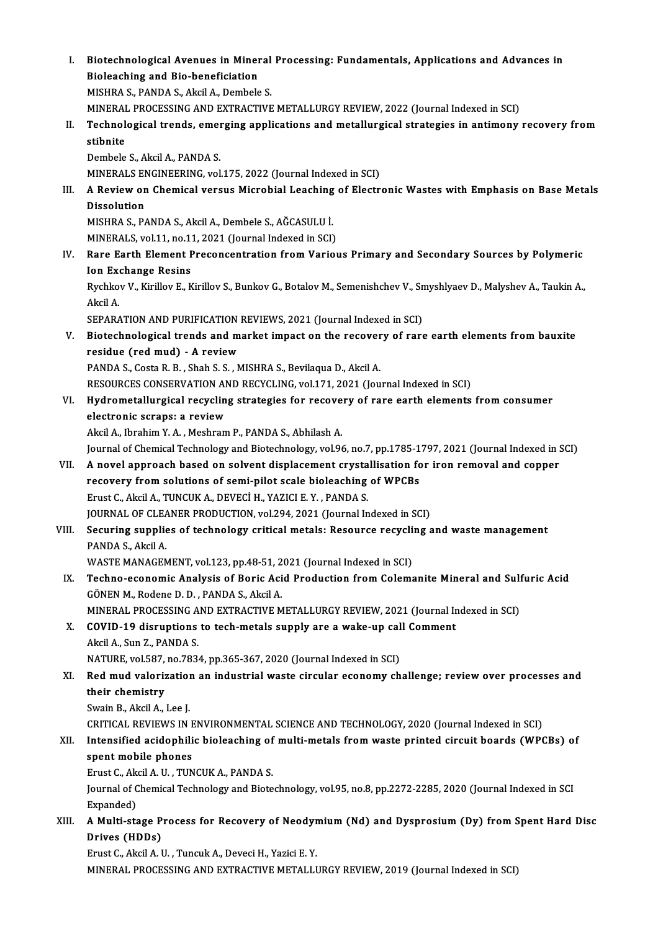|       | Biotechnological Avenues in Mineral Processing: Fundamentals, Applications and Advances in                                                           |
|-------|------------------------------------------------------------------------------------------------------------------------------------------------------|
| L.    | Bioleaching and Bio-beneficiation                                                                                                                    |
|       | MISHRA S., PANDA S., Akcil A., Dembele S.                                                                                                            |
|       | MINERAL PROCESSING AND EXTRACTIVE METALLURGY REVIEW, 2022 (Journal Indexed in SCI)                                                                   |
|       |                                                                                                                                                      |
| П.    | Technological trends, emerging applications and metallurgical strategies in antimony recovery from                                                   |
|       | stibnite                                                                                                                                             |
|       | Dembele S., Akcil A., PANDA S.                                                                                                                       |
|       | MINERALS ENGINEERING, vol.175, 2022 (Journal Indexed in SCI)                                                                                         |
| III.  | A Review on Chemical versus Microbial Leaching of Electronic Wastes with Emphasis on Base Metals                                                     |
|       | <b>Dissolution</b>                                                                                                                                   |
|       | MISHRA S., PANDA S., Akcil A., Dembele S., AĞCASULU İ.                                                                                               |
|       | MINERALS, vol.11, no.11, 2021 (Journal Indexed in SCI)                                                                                               |
| IV.   | Rare Earth Element Preconcentration from Various Primary and Secondary Sources by Polymeric                                                          |
|       | <b>Ion Exchange Resins</b><br>Rychkov V., Kirillov E., Kirillov S., Bunkov G., Botalov M., Semenishchev V., Smyshlyaev D., Malyshev A., Taukin A.,   |
|       | Akcil A                                                                                                                                              |
|       | SEPARATION AND PURIFICATION REVIEWS, 2021 (Journal Indexed in SCI)                                                                                   |
|       |                                                                                                                                                      |
| V.    | Biotechnological trends and market impact on the recovery of rare earth elements from bauxite                                                        |
|       | residue (red mud) - A review                                                                                                                         |
|       | PANDA S., Costa R. B., Shah S. S., MISHRA S., Bevilaqua D., Akcil A.<br>RESOURCES CONSERVATION AND RECYCLING, vol.171, 2021 (Journal Indexed in SCI) |
| VI.   | Hydrometallurgical recycling strategies for recovery of rare earth elements from consumer                                                            |
|       | electronic scraps: a review                                                                                                                          |
|       | Akcil A., Ibrahim Y. A., Meshram P., PANDA S., Abhilash A.                                                                                           |
|       | Journal of Chemical Technology and Biotechnology, vol.96, no.7, pp.1785-1797, 2021 (Journal Indexed in SCI)                                          |
| VII.  | A novel approach based on solvent displacement crystallisation for iron removal and copper                                                           |
|       | recovery from solutions of semi-pilot scale bioleaching of WPCBs                                                                                     |
|       | Erust C., Akcil A., TUNCUK A., DEVECİ H., YAZICI E. Y., PANDA S.                                                                                     |
|       | JOURNAL OF CLEANER PRODUCTION, vol.294, 2021 (Journal Indexed in SCI)                                                                                |
| VIII. | Securing supplies of technology critical metals: Resource recycling and waste management                                                             |
|       | PANDA S., Akcil A.                                                                                                                                   |
|       | WASTE MANAGEMENT, vol.123, pp.48-51, 2021 (Journal Indexed in SCI)                                                                                   |
| IX.   | Techno-economic Analysis of Boric Acid Production from Colemanite Mineral and Sulfuric Acid                                                          |
|       | GÖNEN M., Rodene D. D., PANDA S., Akcil A.                                                                                                           |
|       | MINERAL PROCESSING AND EXTRACTIVE METALLURGY REVIEW, 2021 (Journal Indexed in SCI)                                                                   |
| Х.    | COVID-19 disruptions to tech-metals supply are a wake-up call Comment                                                                                |
|       | Akcil A., Sun Z., PANDA S.                                                                                                                           |
|       | NATURE, vol.587, no.7834, pp.365-367, 2020 (Journal Indexed in SCI)                                                                                  |
| XI.   | Red mud valorization an industrial waste circular economy challenge; review over processes and                                                       |
|       | their chemistry                                                                                                                                      |
|       | Swain B., Akcil A., Lee J.                                                                                                                           |
|       | CRITICAL REVIEWS IN ENVIRONMENTAL SCIENCE AND TECHNOLOGY, 2020 (Journal Indexed in SCI)                                                              |
| XII.  | Intensified acidophilic bioleaching of multi-metals from waste printed circuit boards (WPCBs) of                                                     |
|       | spent mobile phones                                                                                                                                  |
|       | Erust C., Akcil A. U., TUNCUK A., PANDA S.                                                                                                           |
|       | Journal of Chemical Technology and Biotechnology, vol.95, no.8, pp.2272-2285, 2020 (Journal Indexed in SCI                                           |
|       | Expanded)                                                                                                                                            |
| XIII. | A Multi-stage Process for Recovery of Neodymium (Nd) and Dysprosium (Dy) from Spent Hard Disc                                                        |
|       | Drives (HDDs)                                                                                                                                        |
|       | Erust C., Akcil A. U., Tuncuk A., Deveci H., Yazici E. Y.                                                                                            |
|       | MINERAL PROCESSING AND EXTRACTIVE METALLURGY REVIEW, 2019 (Journal Indexed in SCI)                                                                   |
|       |                                                                                                                                                      |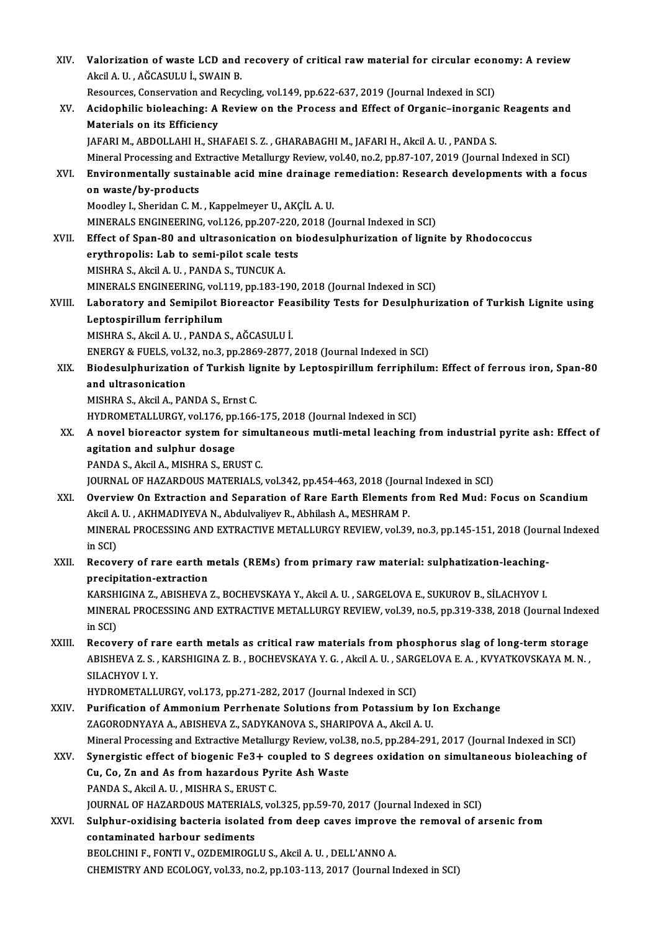| XIV.   | Valorization of waste LCD and recovery of critical raw material for circular economy: A review<br>Akcil A. U., AĞCASULU İ., SWAIN B.                                                                         |
|--------|--------------------------------------------------------------------------------------------------------------------------------------------------------------------------------------------------------------|
|        | Resources, Conservation and Recycling, vol.149, pp.622-637, 2019 (Journal Indexed in SCI)                                                                                                                    |
| XV.    | Acidophilic bioleaching: A Review on the Process and Effect of Organic-inorganic Reagents and<br>Materials on its Efficiency                                                                                 |
|        | JAFARI M., ABDOLLAHI H., SHAFAEI S. Z., GHARABAGHI M., JAFARI H., Akcil A. U., PANDA S.                                                                                                                      |
|        | Mineral Processing and Extractive Metallurgy Review, vol.40, no.2, pp.87-107, 2019 (Journal Indexed in SCI)                                                                                                  |
| XVI.   | Environmentally sustainable acid mine drainage remediation: Research developments with a focus<br>on waste/by-products                                                                                       |
|        | Moodley I., Sheridan C. M., Kappelmeyer U., AKÇİL A. U.                                                                                                                                                      |
|        | MINERALS ENGINEERING, vol.126, pp.207-220, 2018 (Journal Indexed in SCI)                                                                                                                                     |
| XVII.  | Effect of Span-80 and ultrasonication on biodesulphurization of lignite by Rhodococcus                                                                                                                       |
|        | erythropolis: Lab to semi-pilot scale tests                                                                                                                                                                  |
|        | MISHRA S., Akcil A. U., PANDA S., TUNCUK A.                                                                                                                                                                  |
|        | MINERALS ENGINEERING, vol.119, pp.183-190, 2018 (Journal Indexed in SCI)                                                                                                                                     |
| XVIII. | Laboratory and Semipilot Bioreactor Feasibility Tests for Desulphurization of Turkish Lignite using<br>Leptospirillum ferriphilum                                                                            |
|        | MISHRA S., Akcil A. U., PANDA S., AĞCASULU İ.                                                                                                                                                                |
|        | ENERGY & FUELS, vol.32, no.3, pp.2869-2877, 2018 (Journal Indexed in SCI)                                                                                                                                    |
| XIX.   | Biodesulphurization of Turkish lignite by Leptospirillum ferriphilum: Effect of ferrous iron, Span-80<br>and ultrasonication                                                                                 |
|        | MISHRA S., Akcil A., PANDA S., Ernst C.                                                                                                                                                                      |
|        | HYDROMETALLURGY, vol.176, pp.166-175, 2018 (Journal Indexed in SCI)                                                                                                                                          |
| XX.    | A novel bioreactor system for simultaneous mutli-metal leaching from industrial pyrite ash: Effect of                                                                                                        |
|        | agitation and sulphur dosage                                                                                                                                                                                 |
|        | PANDA S., Akcil A., MISHRA S., ERUST C.<br>JOURNAL OF HAZARDOUS MATERIALS, vol.342, pp.454-463, 2018 (Journal Indexed in SCI)                                                                                |
| XXI.   | Overview On Extraction and Separation of Rare Earth Elements from Red Mud: Focus on Scandium                                                                                                                 |
|        | Akcil A. U., AKHMADIYEVA N., Abdulvaliyev R., Abhilash A., MESHRAM P.                                                                                                                                        |
|        | MINERAL PROCESSING AND EXTRACTIVE METALLURGY REVIEW, vol.39, no.3, pp.145-151, 2018 (Journal Indexed<br>in SCI)                                                                                              |
| XXII.  | Recovery of rare earth metals (REMs) from primary raw material: sulphatization-leaching-                                                                                                                     |
|        | precipitation-extraction                                                                                                                                                                                     |
|        | KARSHIGINA Z., ABISHEVA Z., BOCHEVSKAYA Y., Akcil A. U., SARGELOVA E., SUKUROV B., SİLACHYOV I.                                                                                                              |
|        | MINERAL PROCESSING AND EXTRACTIVE METALLURGY REVIEW, vol.39, no.5, pp.319-338, 2018 (Journal Indexed<br>in SCI)                                                                                              |
| XXIII. | Recovery of rare earth metals as critical raw materials from phosphorus slag of long-term storage<br>ABISHEVA Z. S., KARSHIGINA Z. B., BOCHEVSKAYA Y. G., Akcil A. U., SARGELOVA E. A., KVYATKOVSKAYA M. N., |
|        | SILACHYOV I Y                                                                                                                                                                                                |
|        | HYDROMETALLURGY, vol.173, pp.271-282, 2017 (Journal Indexed in SCI)                                                                                                                                          |
| XXIV . | Purification of Ammonium Perrhenate Solutions from Potassium by Ion Exchange                                                                                                                                 |
|        | ZAGORODNYAYA A., ABISHEVA Z., SADYKANOVA S., SHARIPOVA A., Akcil A. U.                                                                                                                                       |
|        | Mineral Processing and Extractive Metallurgy Review, vol.38, no.5, pp.284-291, 2017 (Journal Indexed in SCI)                                                                                                 |
| XXV.   | Synergistic effect of biogenic Fe3+ coupled to S degrees oxidation on simultaneous bioleaching of                                                                                                            |
|        | Cu, Co, Zn and As from hazardous Pyrite Ash Waste                                                                                                                                                            |
|        | PANDA S., Akcil A. U., MISHRA S., ERUST C.                                                                                                                                                                   |
|        | JOURNAL OF HAZARDOUS MATERIALS, vol.325, pp.59-70, 2017 (Journal Indexed in SCI)                                                                                                                             |
| XXVI.  | Sulphur-oxidising bacteria isolated from deep caves improve the removal of arsenic from                                                                                                                      |
|        | contaminated harbour sediments                                                                                                                                                                               |
|        | BEOLCHINI F., FONTI V., OZDEMIROGLU S., Akcil A. U., DELL'ANNO A.                                                                                                                                            |
|        | CHEMISTRY AND ECOLOGY, vol.33, no.2, pp.103-113, 2017 (Journal Indexed in SCI)                                                                                                                               |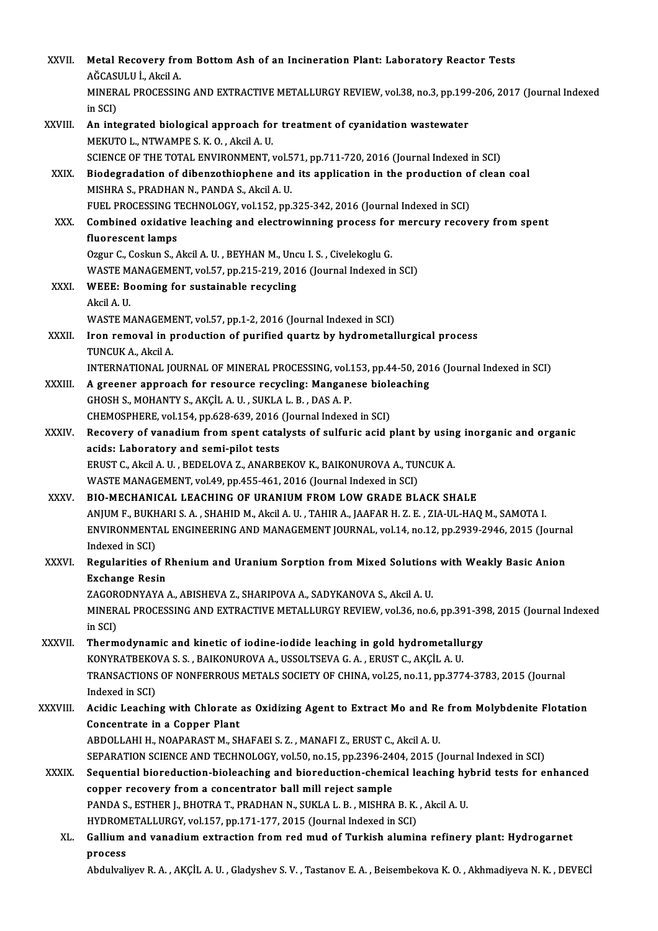| XXVII.       | Metal Recovery from Bottom Ash of an Incineration Plant: Laboratory Reactor Tests                               |
|--------------|-----------------------------------------------------------------------------------------------------------------|
|              | AĞCASULU İ., Akcil A.                                                                                           |
|              | MINERAL PROCESSING AND EXTRACTIVE METALLURGY REVIEW, vol.38, no.3, pp.199-206, 2017 (Journal Indexed            |
|              | in SCI)                                                                                                         |
| XXVIII.      | An integrated biological approach for treatment of cyanidation wastewater                                       |
|              | MEKUTO L., NTWAMPE S. K. O., Akcil A. U.                                                                        |
|              | SCIENCE OF THE TOTAL ENVIRONMENT, vol.571, pp.711-720, 2016 (Journal Indexed in SCI)                            |
| XXIX.        | Biodegradation of dibenzothiophene and its application in the production of clean coal                          |
|              | MISHRA S., PRADHAN N., PANDA S., Akcil A. U.                                                                    |
|              | FUEL PROCESSING TECHNOLOGY, vol.152, pp.325-342, 2016 (Journal Indexed in SCI)                                  |
| XXX.         | Combined oxidative leaching and electrowinning process for mercury recovery from spent                          |
|              | fluorescent lamps<br>Ozgur C., Coskun S., Akcil A. U., BEYHAN M., Uncu I. S., Civelekoglu G.                    |
|              | WASTE MANAGEMENT, vol 57, pp.215-219, 2016 (Journal Indexed in SCI)                                             |
| XXXI.        | WEEE: Booming for sustainable recycling                                                                         |
|              | Akcil A U                                                                                                       |
|              | WASTE MANAGEMENT, vol.57, pp.1-2, 2016 (Journal Indexed in SCI)                                                 |
| XXXII.       | Iron removal in production of purified quartz by hydrometallurgical process                                     |
|              | TUNCUK A, Akcil A.                                                                                              |
|              | INTERNATIONAL JOURNAL OF MINERAL PROCESSING, vol.153, pp.44-50, 2016 (Journal Indexed in SCI)                   |
| XXXIII.      | A greener approach for resource recycling: Manganese bioleaching                                                |
|              | GHOSH S., MOHANTY S., AKÇİL A. U., SUKLA L. B., DAS A. P.                                                       |
|              | CHEMOSPHERE, vol.154, pp.628-639, 2016 (Journal Indexed in SCI)                                                 |
| <b>XXXIV</b> | Recovery of vanadium from spent catalysts of sulfuric acid plant by using inorganic and organic                 |
|              | acids: Laboratory and semi-pilot tests                                                                          |
|              | ERUST C., Akcil A. U., BEDELOVA Z., ANARBEKOV K., BAIKONUROVA A., TUNCUK A.                                     |
|              | WASTE MANAGEMENT, vol 49, pp 455-461, 2016 (Journal Indexed in SCI)                                             |
| <b>XXXV</b>  | BIO-MECHANICAL LEACHING OF URANIUM FROM LOW GRADE BLACK SHALE                                                   |
|              | ANJUM F., BUKHARI S. A. , SHAHID M., Akcil A. U. , TAHIR A., JAAFAR H. Z. E. , ZIA-UL-HAQ M., SAMOTA I.         |
|              | ENVIRONMENTAL ENGINEERING AND MANAGEMENT JOURNAL, vol.14, no.12, pp.2939-2946, 2015 (Journal                    |
|              | Indexed in SCI)                                                                                                 |
| XXXVI.       | Regularities of Rhenium and Uranium Sorption from Mixed Solutions with Weakly Basic Anion                       |
|              | <b>Exchange Resin</b>                                                                                           |
|              | ZAGORODNYAYA A., ABISHEVA Z., SHARIPOVA A., SADYKANOVA S., Akcil A. U.                                          |
|              | MINERAL PROCESSING AND EXTRACTIVE METALLURGY REVIEW, vol.36, no.6, pp.391-398, 2015 (Journal Indexed            |
| XXXVII.      | in SCI)<br>Thermodynamic and kinetic of iodine-iodide leaching in gold hydrometallurgy                          |
|              | KONYRATBEKOVA S. S., BAIKONUROVA A., USSOLTSEVA G. A., ERUST C., AKÇİL A. U.                                    |
|              | TRANSACTIONS OF NONFERROUS METALS SOCIETY OF CHINA, vol.25, no.11, pp.3774-3783, 2015 (Journal                  |
|              | Indexed in SCI)                                                                                                 |
| XXXVIII.     | Acidic Leaching with Chlorate as Oxidizing Agent to Extract Mo and Re from Molybdenite Flotation                |
|              | Concentrate in a Copper Plant                                                                                   |
|              | ABDOLLAHI H., NOAPARAST M., SHAFAEI S. Z., MANAFI Z., ERUST C., Akcil A. U.                                     |
|              | SEPARATION SCIENCE AND TECHNOLOGY, vol.50, no.15, pp.2396-2404, 2015 (Journal Indexed in SCI)                   |
| <b>XXXIX</b> | Sequential bioreduction-bioleaching and bioreduction-chemical leaching hybrid tests for enhanced                |
|              | copper recovery from a concentrator ball mill reject sample                                                     |
|              | PANDA S., ESTHER J., BHOTRA T., PRADHAN N., SUKLA L. B., MISHRA B. K., Akcil A. U.                              |
|              | HYDROMETALLURGY, vol.157, pp.171-177, 2015 (Journal Indexed in SCI)                                             |
| XL.          | Gallium and vanadium extraction from red mud of Turkish alumina refinery plant: Hydrogarnet                     |
|              | process                                                                                                         |
|              | Abdulvaliyev R. A., AKÇİL A. U., Gladyshev S. V., Tastanov E. A., Beisembekova K. O., Akhmadiyeva N. K., DEVECİ |
|              |                                                                                                                 |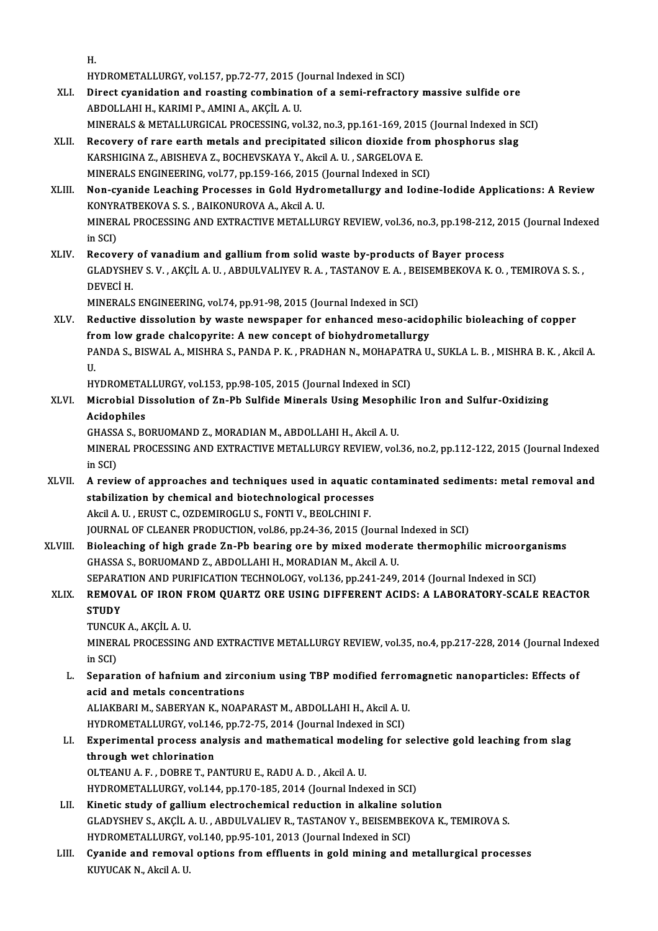H.

H.<br>HYDROMETALLURGY, vol.157, pp.72-77, 2015 (Journal Indexed in SCI)<br>Dinest synridation and reseting combination of a semi-refracte

- H.<br>HYDROMETALLURGY, vol.157, pp.72-77, 2015 (Journal Indexed in SCI)<br>XLI. Direct cyanidation and roasting combination of a semi-refractory massive sulfide ore<br>ABDOLLAHI H., KARIMI P., AMINI A., AKCIL A. U. HYDROMETALLURGY, vol.157, pp.72-77, 2015 ()<br>Direct cyanidation and roasting combination<br>ABDOLLAHI H., KARIMI P., AMINI A., AKÇİL A. U.<br>MINERALS & METALLURGICAL PROCESSING .vo Direct cyanidation and roasting combination of a semi-refractory massive sulfide ore<br>ABDOLLAHI H., KARIMI P., AMINI A., AKÇİL A. U.<br>MINERALS & METALLURGICAL PROCESSING, vol.32, no.3, pp.161-169, 2015 (Journal Indexed in SC
- ABDOLLAHI H., KARIMI P., AMINI A., AKÇİL A. U.<br>MINERALS & METALLURGICAL PROCESSING, vol.32, no.3, pp.161-169, 2015 (Journal Indexed in :<br>XLII. Recovery of rare earth metals and precipitated silicon dioxide from phosphorus MINERALS & METALLURGICAL PROCESSING, vol.32, no.3, pp.161-169, 2015<br>Recovery of rare earth metals and precipitated silicon dioxide from<br>KARSHIGINA Z., ABISHEVA Z., BOCHEVSKAYA Y., Akcil A. U. , SARGELOVA E.<br>MINERALS ENCINE XLII. Recovery of rare earth metals and precipitated silicon dioxide from phosphorus slag<br>KARSHIGINA Z., ABISHEVA Z., BOCHEVSKAYA Y., Akcil A. U. , SARGELOVA E.<br>MINERALS ENGINEERING, vol.77, pp.159-166, 2015 (Journal Index
- KARSHIGINA Z., ABISHEVA Z., BOCHEVSKAYA Y., Akcil A. U. , SARGELOVA E.<br>MINERALS ENGINEERING, vol.77, pp.159-166, 2015 (Journal Indexed in SCI)<br>XLIII. Non-cyanide Leaching Processes in Gold Hydrometallurgy and Iodine-Iodide MINERALS ENGINEERING, vol.77, pp.159-166, 2015 (<br>Non-cyanide Leaching Processes in Gold Hydro<br>KONYRATBEKOVA S. S. , BAIKONUROVA A., Akcil A. U.<br>MINERAL PROCESSING AND EXTRACTIVE METALLUR MINERAL PROCESSING AND EXTRACTIVE METALLURGY REVIEW, vol.36, no.3, pp.198-212, 2015 (Journal Indexed<br>in SCI) KONYRATBEKOVA S. S., BAIKONUROVA A., Akcil A. U.
- XLIV. Recovery of vanadium and gallium from solid waste by-products of Bayer process in SCI)<br>Recovery of vanadium and gallium from solid waste by-products of Bayer process<br>GLADYSHEV S. V. , AKÇİL A. U. , ABDULVALIYEV R. A. , TASTANOV E. A. , BEISEMBEKOVA K. O. , TEMIROVA S. S. ,<br>DEVECİ H Re<mark>covery</mark><br>GLADYSHI<br>DEVECİ H.<br>MINERALS GLADYSHEV S. V. , AKÇİL A. U. , ABDULVALIYEV R. A. , TASTANOV E. A. , BE<br>DEVECİ H.<br>MINERALS ENGINEERING, vol.74, pp.91-98, 2015 (Journal Indexed in SCI)<br>Reductive dissolution by weste newspaper for enhanced maso asi

DEVECİ H.<br>MINERALS ENGINEERING, vol.74, pp.91-98, 2015 (Journal Indexed in SCI)<br>XLV. Reductive dissolution by waste newspaper for enhanced meso-acidophilic bioleaching of copper<br>from low grade chalconynite: A new concent o MINERALS ENGINEERING, vol.74, pp.91-98, 2015 (Journal Indexed in SCI)<br>Reductive dissolution by waste newspaper for enhanced meso-acide<br>from low grade chalcopyrite: A new concept of biohydrometallurgy<br>RANDA S, RISWAL A, MIS Reductive dissolution by waste newspaper for enhanced meso-acidophilic bioleaching of copper<br>from low grade chalcopyrite: A new concept of biohydrometallurgy<br>PANDA S., BISWAL A., MISHRA S., PANDA P. K. , PRADHAN N., MOHAPA fr<br>PA<br>U. PANDA S., BISWAL A., MISHRA S., PANDA P. K. , PRADHAN N., MOHAPATF<br>U.<br>HYDROMETALLURGY, vol.153, pp.98-105, 2015 (Journal Indexed in SCI)<br>Misrobial Dissolution of Zn Pb Sulfide Minerals Heing Mesophili

HYDROMETALLURGY, vol.153, pp.98-105, 2015 (Journal Indexed in SCI)

# U.<br>HYDROMETALLURGY, vol.153, pp.98-105, 2015 (Journal Indexed in SCI)<br>XLVI. Microbial Dissolution of Zn-Pb Sulfide Minerals Using Mesophilic Iron and Sulfur-Oxidizing<br>Acidophiles Microbial Dissolution of Zn-Pb Sulfide Minerals Using Mesoph<br>Acidophiles<br>GHASSA S., BORUOMAND Z., MORADIAN M., ABDOLLAHI H., Akcil A. U.<br>MINERAL BROCESSING AND EXTRACTIVE METALLURGY REVIEW. vol

Acidophiles<br>GHASSA S., BORUOMAND Z., MORADIAN M., ABDOLLAHI H., Akcil A. U.<br>MINERAL PROCESSING AND EXTRACTIVE METALLURGY REVIEW, vol.36, no.2, pp.112-122, 2015 (Journal Indexed<br>in SCD GHASS<br>MINER<br>in SCI)<br>A rovie MINERAL PROCESSING AND EXTRACTIVE METALLURGY REVIEW, vol.36, no.2, pp.112-122, 2015 (Journal Indexed<br>in SCI)<br>XLVII. A review of approaches and techniques used in aquatic contaminated sediments: metal removal and<br>atabilizat

# in SCI)<br>XLVII. A review of approaches and techniques used in aquatic contaminated sediments: metal removal and<br>stabilization by chemical and biotechnological processes Akcil A.U., ERUST C., OZDEMIROGLU S., FONTI V., BEOLCHINI F. JOURNAL OF CLEANER PRODUCTION, vol.86, pp.24-36, 2015 (Journal Indexed in SCI)

XLVIII. Bioleaching of high grade Zn-Pb bearing ore by mixed moderate thermophilic microorganisms GHASSA S., BORUOMAND Z., ABDOLLAHI H., MORADIAN M., Akcil A. U. Bioleaching of high grade Zn-Pb bearing ore by mixed moderate thermophilic microorgal<br>GHASSA S., BORUOMAND Z., ABDOLLAHI H., MORADIAN M., Akcil A. U.<br>SEPARATION AND PURIFICATION TECHNOLOGY, vol.136, pp.241-249, 2014 (Journ GHASSA S., BORUOMAND Z., ABDOLLAHI H., MORADIAN M., Akcil A. U.<br>SEPARATION AND PURIFICATION TECHNOLOGY, vol.136, pp.241-249, 2014 (Journal Indexed in SCI)<br>XLIX. REMOVAL OF IRON FROM QUARTZ ORE USING DIFFERENT ACIDS: A LABO

# SEPARA<br><mark>REMOV</mark><br>STUDY<br>TUNGUY R<mark>EMOVAL OF IRON F</mark><br>STUDY<br>TUNCUK A., AKÇİL A. U.<br>MINERAL PROCESSINC

STUDY<br>TUNCUK A., AKÇİL A. U.<br>MINERAL PROCESSING AND EXTRACTIVE METALLURGY REVIEW, vol.35, no.4, pp.217-228, 2014 (Journal Indexed<br>in SCD TUNCU<br>MINER<br>in SCI)<br>Senarg MINERAL PROCESSING AND EXTRACTIVE METALLURGY REVIEW, vol.35, no.4, pp.217-228, 2014 (Journal Inde<br>in SCI)<br>L. Separation of hafnium and zirconium using TBP modified ferromagnetic nanoparticles: Effects of<br>asid and motals co

in SCI)<br>Separation of hafnium and zirco<br>acid and metals concentrations<br>ALIAVPAPLM, SAPERVAN V, NOAP Separation of hafnium and zirconium using TBP modified ferror<br>acid and metals concentrations<br>ALIAKBARI M., SABERYAN K., NOAPARAST M., ABDOLLAHI H., Akcil A. U.<br>uvppometal LUPCY vol.146 nn.72.75–2014 (Journal Indoved in SCD

acid and metals concentrations<br>ALIAKBARI M., SABERYAN K., NOAPARAST M., ABDOLLAHI H., Akcil A. U<br>HYDROMETALLURGY, vol.146, pp.72-75, 2014 (Journal Indexed in SCI)<br>Experimental presess analysis and mathematisal modeling for

# ALIAKBARI M., SABERYAN K., NOAPARAST M., ABDOLLAHI H., Akcil A. U.<br>HYDROMETALLURGY, vol.146, pp.72-75, 2014 (Journal Indexed in SCI)<br>LI. Experimental process analysis and mathematical modeling for selective gold leaching f HYDROMETALLURGY, vol.146, pp.72-75, 2014 (Journal Indexed in SCI)<br>Experimental process analysis and mathematical modeling for :<br>through wet chlorination<br>OLTEANU A. F. . DOBRE T. PANTURU E.. RADU A. D. . Akcil A. U. Experimental process analysis and mathematical model<br>through wet chlorination<br>OLTEANU A. F. , DOBRE T., PANTURU E., RADU A. D. , Akcil A. U.<br>UVDROMETALLURCY, vol.144, pp.170, 195, 2014 (Journal Indo

HYDROMETALLURGY, vol.144, pp.170-185, 2014 (Journal Indexed in SCI)

- LII. Kinetic study of gallium electrochemical reduction in alkaline solution HYDROMETALLURGY, vol.144, pp.170-185, 2014 (Journal Indexed in SCI)<br>Kinetic study of gallium electrochemical reduction in alkaline solution<br>GLADYSHEV S., AKÇİL A. U. , ABDULVALIEV R., TASTANOV Y., BEISEMBEKOVA K., TEMIROVA Kinetic study of gallium electrochemical reduction in alkaline so<br>GLADYSHEV S., AKÇİL A. U. , ABDULVALIEV R., TASTANOV Y., BEISEMBEK<br>HYDROMETALLURGY, vol.140, pp.95-101, 2013 (Journal Indexed in SCI)<br>Cyanide and remayal an GLADYSHEV S., AKÇİL A. U. , ABDULVALIEV R., TASTANOV Y., BEISEMBEKOVA K., TEMIROVA S.<br>HYDROMETALLURGY, vol.140, pp.95-101, 2013 (Journal Indexed in SCI)<br>LIII. Cyanide and removal options from effluents in gold mining and m
- HYDROMETALLURGY, v<br><mark>Cyanide and remova</mark><br>KUYUCAK N., Akcil A. U.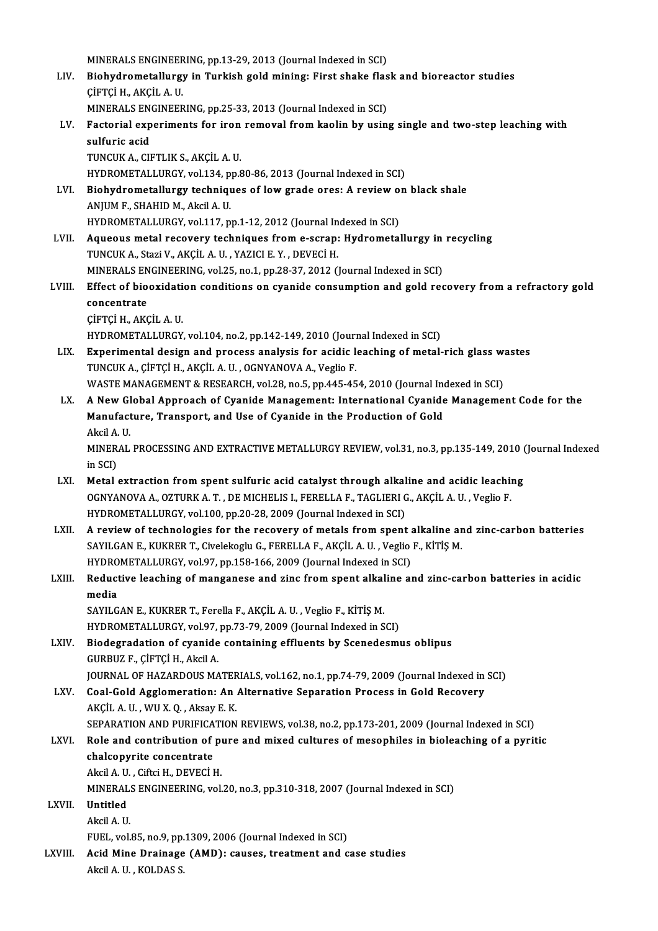MINERALS ENGINEERING, pp.13-29, 2013 (Journal Indexed in SCI)<br>Pichydrometallurgy in Turkish sold mining: Eirst shelts flee

- MINERALS ENGINEERING, pp.13-29, 2013 (Journal Indexed in SCI)<br>LIV. Biohydrometallurgy in Turkish gold mining: First shake flask and bioreactor studies<br>CUETCLH AKCU A U MINERALS ENGINEER<br>Biohydrometallurg<br>ÇİFTÇİ H., AKÇİL A. U.<br>MINERALS ENGINEER Biohydrometallurgy in Turkish gold mining: First shake flas<br>ÇİFTÇİ H., AKÇİL A. U.<br>MINERALS ENGINEERING, pp.25-33, 2013 (Journal Indexed in SCI)<br>Festerial suneriments for inen remayal from kaolin by yein
	- MINERALS ENGINEERING, pp.25-33, 2013 (Journal Indexed in SCI)
- CIFTCI H., AKCIL A. U.<br>MINERALS ENGINEERING, pp.25-33, 2013 (Journal Indexed in SCI)<br>LV. Factorial experiments for iron removal from kaolin by using single and two-step leaching with<br>sulfuric acid TUNCUKA.,CIFTLIKS.,AKÇİLA.U. TUNCUK A., CIFTLIK S., AKÇİL A. U.<br>HYDROMETALLURGY, vol.134, pp.80-86, 2013 (Journal Indexed in SCI)<br>LVI. Biohydrometallurgy techniques of low grade ores: A review on black shale<br>ANIUM E. SHAHID M. Aksil A. II
	- HYDROMETALLURGY, vol.134, pp.80-86, 2013 (Journal Indexed in SCI)
- HYDROMETALLURGY, vol.134, p<br>Biohydrometallurgy techniqu<br>ANJUM F., SHAHID M., Akcil A. U.<br>HYDROMETALLURCY, vol.117, p. Biohydrometallurgy techniques of low grade ores: A review of<br>ANJUM F., SHAHID M., Akcil A. U.<br>HYDROMETALLURGY, vol.117, pp.1-12, 2012 (Journal Indexed in SCI)<br>Agueous matel negouery techniques from a seran; Hydrometal HYDROMETALLURGY, vol.117, pp.1-12, 2012 (Journal Indexed in SCI)
- ANJUM F., SHAHID M., Akcil A. U.<br>HYDROMETALLURGY, vol.117, pp.1-12, 2012 (Journal Indexed in SCI)<br>LVII. Aqueous metal recovery techniques from e-scrap: Hydrometallurgy in recycling<br>TUNCUK A., Stazi V., AKÇİL A. U. , YAZICI Aqueous metal recovery techniques from e-scrap: Hydrometallurgy in<br>TUNCUK A., Stazi V., AKÇİL A. U. , YAZICI E. Y. , DEVECİ H.<br>MINERALS ENGINEERING, vol.25, no.1, pp.28-37, 2012 (Journal Indexed in SCI)<br>Effect of biooxidat
- TUNCUK A., Stazi V., AKÇİL A. U. , YAZICI E. Y. , DEVECİ H.<br>MINERALS ENGINEERING, vol.25, no.1, pp.28-37, 2012 (Journal Indexed in SCI)<br>LVIII. Effect of biooxidation conditions on cyanide consumption and gold recovery MINERALS EN<br>Effect of bio<br>concentrate<br>cienci u AMC Effect of biooxidati<br>concentrate<br>ÇİFTÇİ H., AKÇİL A. U.<br>HYDROMETALLURCY concentrate<br>ÇİFTÇİ H., AKÇİL A. U.<br>HYDROMETALLURGY, vol.104, no.2, pp.142-149, 2010 (Journal Indexed in SCI)
	-
	- CIFTCI H., AKCIL A. U.<br>HYDROMETALLURGY, vol.104, no.2, pp.142-149, 2010 (Journal Indexed in SCI)<br>LIX. Experimental design and process analysis for acidic leaching of metal-rich glass wastes<br>TUNCUK A. CIETCI H. AKCIL A. U. HYDROMETALLURGY, vol.104, no.2, pp.142-149, 2010 (Journ<br>Experimental design and process analysis for acidic l<br>TUNCUK A., ÇİFTÇİ H., AKÇİL A. U. , OGNYANOVA A., Veglio F.<br>WASTE MANACEMENT & RESEARCH vol.29, no.5, np.445,45 Experimental design and process analysis for acidic leaching of metal-rich glass we<br>TUNCUK A., ÇİFTÇİ H., AKÇİL A. U. , OGNYANOVA A., Veglio F.<br>WASTE MANAGEMENT & RESEARCH, vol.28, no.5, pp.445-454, 2010 (Journal Indexed i
		-
	- TUNCUK A., ÇİFTÇİ H., AKÇİL A. U. , OGNYANOVA A., Veglio F.<br>WASTE MANAGEMENT & RESEARCH, vol.28, no.5, pp.445-454, 2010 (Journal Indexed in SCI)<br>LX. A New Global Approach of Cyanide Management: International Cyanide Ma WASTE MANAGEMENT & RESEARCH, vol.28, no.5, pp.445-454, 2010 (Journal Ind<br>A New Global Approach of Cyanide Management: International Cyanide<br>Manufacture, Transport, and Use of Cyanide in the Production of Gold<br>Aksil A H A New Gl<br>Manufact<br>Akcil A. U.<br>MINERAL Manufacture, Transport, and Use of Cyanide in the Production of Gold<br>Akcil A. U.<br>MINERAL PROCESSING AND EXTRACTIVE METALLURGY REVIEW, vol.31, no.3, pp.135-149, 2010 (Journal Indexed<br>in SCD Akcil A.<br>MINER.<br>in SCI)<br>Motal
	- MINERAL PROCESSING AND EXTRACTIVE METALLURGY REVIEW, vol.31, no.3, pp.135-149, 2010 (<br>in SCI)<br>LXI. Metal extraction from spent sulfuric acid catalyst through alkaline and acidic leaching<br> $OCNVANOVA A OZTIBVA T. DE MICUEI ISI EEDEIAE TAGIIBDIC A$
- in SCI)<br>Metal extraction from spent sulfuric acid catalyst through alkaline and acidic leachii<br>OGNYANOVA A., OZTURK A. T. , DE MICHELIS I., FERELLA F., TAGLIERI G., AKÇİL A. U. , Veglio F.<br>HYDROMETALLURCY, val 100, np 20, OGNYANOVA A., OZTURK A. T. , DE MICHELIS I., FERELLA F., TAGLIERI G., AKÇİL A. U. , Veglio F.<br>HYDROMETALLURGY, vol.100, pp.20-28, 2009 (Journal Indexed in SCI) OGNYANOVA A., OZTURK A. T. , DE MICHELIS I., FERELLA F., TAGLIERI G., AKÇİL A. U. , Veglio F.<br>HYDROMETALLURGY, vol.100, pp.20-28, 2009 (Journal Indexed in SCI)<br>LXII. A review of technologies for the recovery of metals from
- HYDROMETALLURGY, vol.100, pp.20-28, 2009 (Journal Indexed in SCI)<br>A review of technologies for the recovery of metals from spent alkaline are SAYILGAN E., KUKRER T., Civelekoglu G., FERELLA F., AKÇİL A. U. , Veglio F., KİT A review of technologies for the recovery of metals from spent of SAYILGAN E., KUKRER T., Civelekoglu G., FERELLA F., AKÇIL A. U. , Veglio<br>HYDROMETALLURGY, vol.97, pp.158-166, 2009 (Journal Indexed in SCI)<br>Reductive leashi SAYILGAN E., KUKRER T., Civelekoglu G., FERELLA F., AKÇİL A. U. , Veglio F., KİTİŞ M.<br>HYDROMETALLURGY, vol.97, pp.158-166, 2009 (Journal Indexed in SCI)<br>LXIII. Reductive leaching of manganese and zinc from spent alkaline a
- HYDRO<br><mark>Reduct</mark><br>media<br>SAVILG Reductive leaching of manganese and zinc from spent alkal<br>media<br>SAYILGAN E., KUKRER T., Ferella F., AKÇİL A. U. , Veglio F., KİTİŞ M.<br>HYDROMETALLURCY vol 97, pp.73,79,2009 (Journal Indeved in S
	- media<br>SAYILGAN E., KUKRER T., Ferella F., AKÇİL A. U. , Veglio F., KİTİŞ M.<br>HYDROMETALLURGY, vol.97, pp.73-79, 2009 (Journal Indexed in SCI)<br>Biodegradation of svanide senteining effluente by Seenedesmı
- HYDROMETALLURGY, vol.97, pp.73-79, 2009 (Journal Indexed in SCI)<br>LXIV. Biodegradation of cyanide containing effluents by Scenedesmus oblipus GURBUZ F.,ÇİFTÇİH.,AkcilA. Biodegradation of cyanide containing effluents by Scenedesmus oblipus<br>GURBUZ F., ÇİFTÇİ H., Akcil A.<br>JOURNAL OF HAZARDOUS MATERIALS, vol.162, no.1, pp.74-79, 2009 (Journal Indexed in SCI)<br>Coal Cald Agglemeration: An Altern
- LXV. Coal-Gold Agglomeration: An Alternative Separation Process in Gold Recovery<br>AKCIL A.U., WU X.Q., Aksay E.K. **JOURNAL OF HAZARDOUS MATER<br>Coal-Gold Agglomeration: An<br>AKÇİL A. U. , WU X. Q. , Aksay E. K.<br>SERARATION AND BURIEICATION** Coal-Gold Agglomeration: An Alternative Separation Process in Gold Recovery<br>AKÇİL A. U. , WU X. Q. , Aksay E. K.<br>SEPARATION AND PURIFICATION REVIEWS, vol.38, no.2, pp.173-201, 2009 (Journal Indexed in SCI)<br>Bele and contrib AKÇİL A. U. , WU X. Q. , Aksay E. K.<br>SEPARATION AND PURIFICATION REVIEWS, vol.38, no.2, pp.173-201, 2009 (Journal Indexed in SCI)<br>LXVI. Role and contribution of pure and mixed cultures of mesophiles in bioleaching of a pyr

# SEPARATION AND PURIFICA<br>Role and contribution of<br>chalcopyrite concentrate Role and contribution of p<br>chalcopyrite concentrate<br>Akcil A.U. , Ciftci H., DEVECİ H.<br>MINERALS ENCINEEDINC vol chalcopyrite concentrate<br>Akcil A. U. , Ciftci H., DEVECİ H.<br>MINERALS ENGINEERING, vol.20, no.3, pp.310-318, 2007 (Journal Indexed in SCI)<br>Untitled

- 
- LXVI . Untitled MINERAL:<br>Untitled<br>Akcil A. U.<br>EUEL -vol
- -
	- FUEL, vol.85, no.9, pp.1309, 2006 (Journal Indexed in SCI)
- Akcil A. U.<br>FUEL, vol.85, no.9, pp.1309, 2006 (Journal Indexed in SCI)<br>LXVIII. Atail A II KOLDAS S FUEL, vol.85, no.9, pp.<br>Acid Mine Drainage<br>Akcil A. U. , KOLDAS S.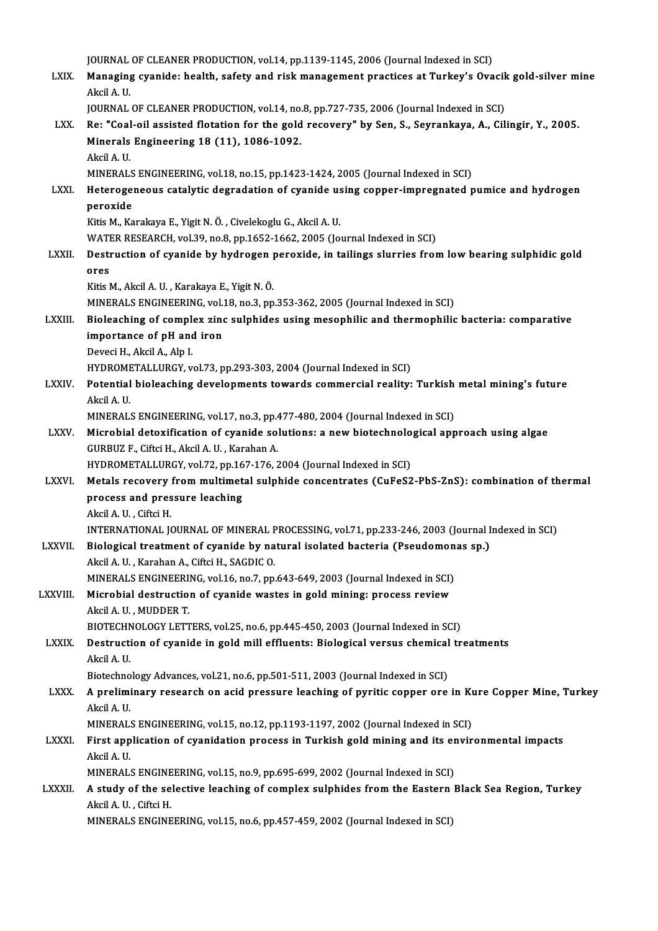|                 | JOURNAL OF CLEANER PRODUCTION, vol.14, pp.1139-1145, 2006 (Journal Indexed in SCI)                                                                                                |
|-----------------|-----------------------------------------------------------------------------------------------------------------------------------------------------------------------------------|
| LXIX.           | Managing cyanide: health, safety and risk management practices at Turkey's Ovacik gold-silver mine<br>Akcil A U                                                                   |
|                 | JOURNAL OF CLEANER PRODUCTION, vol.14, no.8, pp.727-735, 2006 (Journal Indexed in SCI)                                                                                            |
| LXX.            | Re: "Coal-oil assisted flotation for the gold recovery" by Sen, S., Seyrankaya, A., Cilingir, Y., 2005.<br>Minerals Engineering 18 (11), 1086-1092.                               |
|                 | Akcil A U<br>MINERALS ENGINEERING, vol.18, no.15, pp.1423-1424, 2005 (Journal Indexed in SCI)                                                                                     |
| LXXI.           | Heterogeneous catalytic degradation of cyanide using copper-impregnated pumice and hydrogen<br>peroxide                                                                           |
|                 | Kitis M., Karakaya E., Yigit N. Ö., Civelekoglu G., Akcil A. U.                                                                                                                   |
|                 | WATER RESEARCH, vol.39, no.8, pp.1652-1662, 2005 (Journal Indexed in SCI)                                                                                                         |
| <b>LXXII</b>    | Destruction of cyanide by hydrogen peroxide, in tailings slurries from low bearing sulphidic gold<br>ores                                                                         |
|                 | Kitis M., Akcil A. U., Karakaya E., Yigit N. Ö.                                                                                                                                   |
|                 | MINERALS ENGINEERING, vol.18, no.3, pp.353-362, 2005 (Journal Indexed in SCI)                                                                                                     |
| <b>LXXIII</b>   | Bioleaching of complex zinc sulphides using mesophilic and thermophilic bacteria: comparative<br>importance of pH and iron                                                        |
|                 | Deveci H., Akcil A., Alp I.<br>HYDROMETALLURGY, vol.73, pp.293-303, 2004 (Journal Indexed in SCI)                                                                                 |
| LXXIV.          | Potential bioleaching developments towards commercial reality: Turkish metal mining's future                                                                                      |
|                 | Akcil A.U.                                                                                                                                                                        |
|                 | MINERALS ENGINEERING, vol.17, no.3, pp.477-480, 2004 (Journal Indexed in SCI)                                                                                                     |
| <b>LXXV</b>     | Microbial detoxification of cyanide solutions: a new biotechnological approach using algae<br>GURBUZ F., Ciftci H., Akcil A. U., Karahan A.                                       |
|                 | HYDROMETALLURGY, vol.72, pp.167-176, 2004 (Journal Indexed in SCI)                                                                                                                |
| <b>LXXVI</b>    | Metals recovery from multimetal sulphide concentrates (CuFeS2-PbS-ZnS): combination of thermal                                                                                    |
|                 | process and pressure leaching                                                                                                                                                     |
|                 | Akcil A U . Ciftci H .<br>INTERNATIONAL JOURNAL OF MINERAL PROCESSING, vol.71, pp.233-246, 2003 (Journal Indexed in SCI)                                                          |
| <b>LXXVII</b> . | Biological treatment of cyanide by natural isolated bacteria (Pseudomonas sp.)                                                                                                    |
|                 | Akcil A. U., Karahan A., Ciftci H., SAGDIC O.                                                                                                                                     |
|                 | MINERALS ENGINEERING, vol.16, no.7, pp.643-649, 2003 (Journal Indexed in SCI)                                                                                                     |
| LXXVIII.        | Microbial destruction of cyanide wastes in gold mining: process review                                                                                                            |
|                 | Akcil A. U., MUDDER T.                                                                                                                                                            |
|                 | BIOTECHNOLOGY LETTERS, vol.25, no.6, pp.445-450, 2003 (Journal Indexed in SCI)                                                                                                    |
| <b>LXXIX</b>    | Destruction of cyanide in gold mill effluents: Biological versus chemical treatments<br>Akcil A.U.                                                                                |
|                 | Biotechnology Advances, vol.21, no.6, pp.501-511, 2003 (Journal Indexed in SCI)                                                                                                   |
| <b>LXXX</b>     | A preliminary research on acid pressure leaching of pyritic copper ore in Kure Copper Mine, Turkey<br>Akcil A.U.                                                                  |
|                 | MINERALS ENGINEERING, vol.15, no.12, pp.1193-1197, 2002 (Journal Indexed in SCI)                                                                                                  |
| <b>LXXXI</b>    | First application of cyanidation process in Turkish gold mining and its environmental impacts<br>Akcil A.U.                                                                       |
| LXXXII.         | MINERALS ENGINEERING, vol.15, no.9, pp.695-699, 2002 (Journal Indexed in SCI)<br>A study of the selective leaching of complex sulphides from the Eastern Black Sea Region, Turkey |
|                 | Akcil A U, Ciftci H<br>MINERALS ENGINEERING, vol.15, no.6, pp.457-459, 2002 (Journal Indexed in SCI)                                                                              |
|                 |                                                                                                                                                                                   |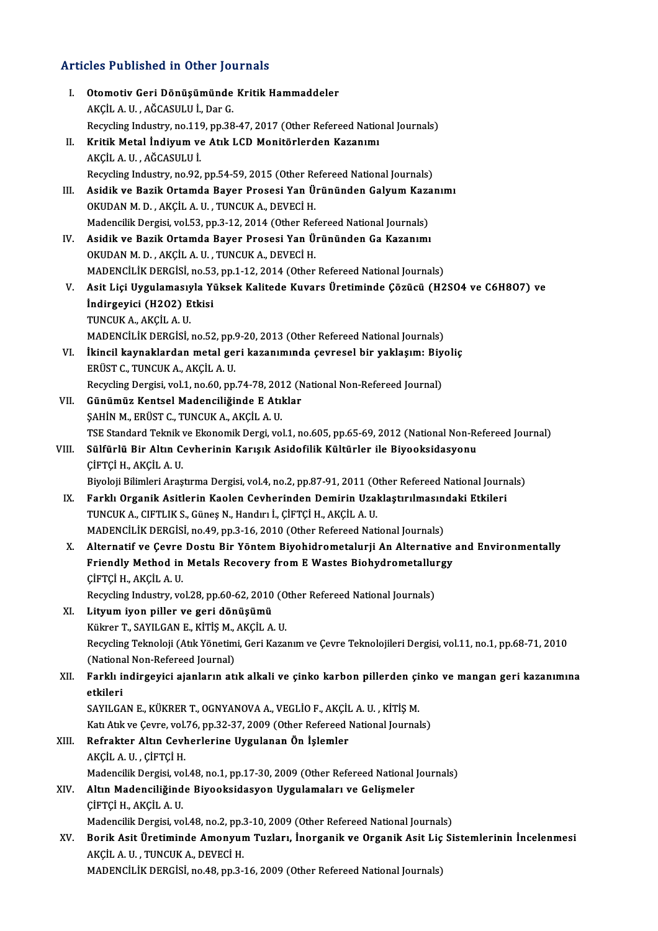# Articles Published in Other Journals

|       | <b>Articles Published in Other Journals</b>                                                                                                                                            |
|-------|----------------------------------------------------------------------------------------------------------------------------------------------------------------------------------------|
| L.    | Otomotiv Geri Dönüşümünde Kritik Hammaddeler                                                                                                                                           |
|       | AKÇİL A U , AĞCASULU İ , Dar G.                                                                                                                                                        |
|       | Recycling Industry, no.119, pp.38-47, 2017 (Other Refereed National Journals)                                                                                                          |
| П.    | Kritik Metal İndiyum ve Atık LCD Monitörlerden Kazanımı                                                                                                                                |
|       | AKÇİL A.U., AĞCASULUİ                                                                                                                                                                  |
|       | Recycling Industry, no.92, pp.54-59, 2015 (Other Refereed National Journals)                                                                                                           |
| III.  | Asidik ve Bazik Ortamda Bayer Prosesi Yan Ürününden Galyum Kazanımı                                                                                                                    |
|       | OKUDAN M. D., AKÇİL A. U., TUNCUK A., DEVECİ H.                                                                                                                                        |
|       | Madencilik Dergisi, vol.53, pp.3-12, 2014 (Other Refereed National Journals)                                                                                                           |
| IV.   | Asidik ve Bazik Ortamda Bayer Prosesi Yan Ürününden Ga Kazanımı                                                                                                                        |
|       | OKUDAN M. D., AKÇİL A. U., TUNCUK A., DEVECİ H.                                                                                                                                        |
|       | MADENCILIK DERGISI, no.53, pp.1-12, 2014 (Other Refereed National Journals)                                                                                                            |
| V.    | Asit Liçi Uygulamasıyla Yüksek Kalitede Kuvars Üretiminde Çözücü (H2SO4 ve C6H8O7) ve                                                                                                  |
|       | İndirgeyici (H2O2) Etkisi                                                                                                                                                              |
|       | TUNCUK A., AKÇİL A. U.                                                                                                                                                                 |
|       | MADENCILIK DERGISI, no.52, pp.9-20, 2013 (Other Refereed National Journals)                                                                                                            |
| VI.   | İkincil kaynaklardan metal geri kazanımında çevresel bir yaklaşım: Biyoliç                                                                                                             |
|       | ERÜST C., TUNCUK A., AKÇİL A. U.                                                                                                                                                       |
|       | Recycling Dergisi, vol.1, no.60, pp.74-78, 2012 (National Non-Refereed Journal)                                                                                                        |
| VII.  | Günümüz Kentsel Madenciliğinde E Atıklar                                                                                                                                               |
|       | ŞAHİN M., ERÜST C., TUNCUK A., AKÇİL A. U.                                                                                                                                             |
| VIII. | TSE Standard Teknik ve Ekonomik Dergi, vol.1, no.605, pp.65-69, 2012 (National Non-Refereed Journal)<br>Sülfürlü Bir Altın Cevherinin Karışık Asidofilik Kültürler ile Biyooksidasyonu |
|       | ÇİFTÇİ H., AKÇİL A. U.                                                                                                                                                                 |
|       | Biyoloji Bilimleri Araştırma Dergisi, vol.4, no.2, pp.87-91, 2011 (Other Refereed National Journals)                                                                                   |
| IX.   | Farklı Organik Asitlerin Kaolen Cevherinden Demirin Uzaklaştırılmasındaki Etkileri                                                                                                     |
|       | TUNCUK A., CIFTLIK S., Güneş N., Handırı İ., ÇİFTÇİ H., AKÇİL A. U.                                                                                                                    |
|       | MADENCILIK DERGISI, no.49, pp.3-16, 2010 (Other Refereed National Journals)                                                                                                            |
|       | X. Alternatif ve Çevre Dostu Bir Yöntem Biyohidrometalurji An Alternative and Environmentally                                                                                          |
|       | Friendly Method in Metals Recovery from E Wastes Biohydrometallurgy                                                                                                                    |
|       | ÇİFTÇİ H., AKÇİL A. U.                                                                                                                                                                 |
|       | Recycling Industry, vol.28, pp.60-62, 2010 (Other Refereed National Journals)                                                                                                          |
| XI.   | Lityum iyon piller ve geri dönüşümü                                                                                                                                                    |
|       | Kükrer T., SAYILGAN E., KİTİŞ M., AKÇİL A. U.                                                                                                                                          |
|       | Recycling Teknoloji (Atık Yönetimi, Geri Kazanım ve Çevre Teknolojileri Dergisi, vol.11, no.1, pp.68-71, 2010                                                                          |
|       | (National Non-Refereed Journal)                                                                                                                                                        |
| XII.  | Farklı indirgeyici ajanların atık alkali ve çinko karbon pillerden çinko ve mangan geri kazanımına                                                                                     |
|       | etkileri                                                                                                                                                                               |
|       | SAYILGAN E., KÜKRER T., OGNYANOVA A., VEGLIO F., AKÇIL A. U., KİTİŞ M.                                                                                                                 |
|       | Katı Atık ve Çevre, vol.76, pp.32-37, 2009 (Other Refereed National Journals)                                                                                                          |
| XIII. | Refrakter Altın Cevherlerine Uygulanan Ön İşlemler                                                                                                                                     |
|       | AKÇİL A. U., ÇİFTÇİ H.                                                                                                                                                                 |
|       | Madencilik Dergisi, vol.48, no.1, pp.17-30, 2009 (Other Refereed National Journals)                                                                                                    |
| XIV.  | Altın Madenciliğinde Biyooksidasyon Uygulamaları ve Gelişmeler                                                                                                                         |
|       | ÇİFTÇİ H., AKÇİL A. U.                                                                                                                                                                 |
|       | Madencilik Dergisi, vol.48, no.2, pp.3-10, 2009 (Other Refereed National Journals)                                                                                                     |
| XV.   | Borik Asit Üretiminde Amonyum Tuzları, İnorganik ve Organik Asit Liç Sistemlerinin İncelenmesi                                                                                         |
|       | AKÇİL A.U., TUNCUK A., DEVECİ H.                                                                                                                                                       |
|       | MADENCILIK DERGISI, no.48, pp.3-16, 2009 (Other Refereed National Journals)                                                                                                            |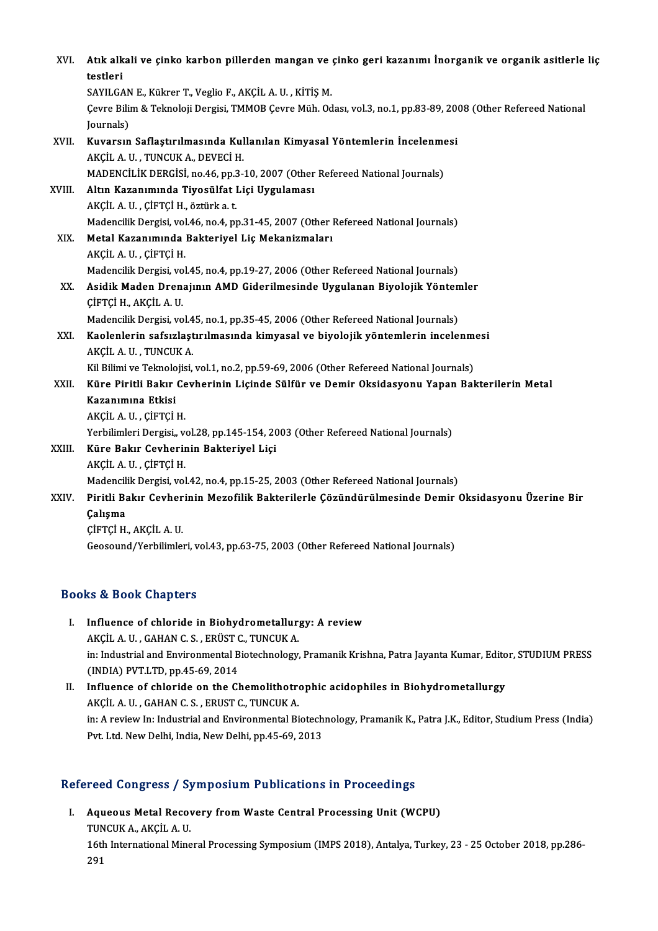| XVI.   | Atık alkali ve çinko karbon pillerden mangan ve çinko geri kazanımı İnorganik ve organik asitlerle liç        |
|--------|---------------------------------------------------------------------------------------------------------------|
|        | testleri                                                                                                      |
|        | SAYILGAN E., Kükrer T., Veglio F., AKÇİL A. U., KİTİŞ M.                                                      |
|        | Çevre Bilim & Teknoloji Dergisi, TMMOB Çevre Müh. Odası, vol.3, no.1, pp.83-89, 2008 (Other Refereed National |
|        | Journals)                                                                                                     |
| XVII.  | Kuvarsın Saflaştırılmasında Kullanılan Kimyasal Yöntemlerin İncelenmesi                                       |
|        | AKÇİL A. U., TUNCUK A., DEVECİ H.                                                                             |
|        | MADENCILIK DERGISI, no.46, pp.3-10, 2007 (Other Refereed National Journals)                                   |
| XVIII. | Altın Kazanımında Tiyosülfat Liçi Uygulaması                                                                  |
|        | AKÇİL A. U., ÇİFTÇİ H., öztürk a. t.                                                                          |
|        | Madencilik Dergisi, vol.46, no.4, pp.31-45, 2007 (Other Refereed National Journals)                           |
| XIX.   | Metal Kazanımında Bakteriyel Liç Mekanizmaları                                                                |
|        | AKÇİL A U, ÇİFTÇİ H.                                                                                          |
|        | Madencilik Dergisi, vol.45, no.4, pp.19-27, 2006 (Other Refereed National Journals)                           |
| XX.    | Asidik Maden Drenajının AMD Giderilmesinde Uygulanan Biyolojik Yöntemler                                      |
|        | ÇİFTÇİ H., AKÇİL A. U.                                                                                        |
|        | Madencilik Dergisi, vol.45, no.1, pp.35-45, 2006 (Other Refereed National Journals)                           |
| XXI.   | Kaolenlerin safsızlaştırılmasında kimyasal ve biyolojik yöntemlerin incelenmesi                               |
|        | AKÇİL A. U., TUNCUK A.                                                                                        |
|        | Kil Bilimi ve Teknolojisi, vol.1, no.2, pp.59-69, 2006 (Other Refereed National Journals)                     |
| XXII.  | Küre Piritli Bakır Cevherinin Liçinde Sülfür ve Demir Oksidasyonu Yapan Bakterilerin Metal                    |
|        | Kazanımına Etkisi                                                                                             |
|        | AKÇİL A. U., ÇİFTÇİ H.                                                                                        |
|        | Yerbilimleri Dergisi,, vol.28, pp.145-154, 2003 (Other Refereed National Journals)                            |
| XXIII. | Küre Bakır Cevherinin Bakteriyel Liçi                                                                         |
|        | AKÇİL A U , ÇİFTÇİ H                                                                                          |
|        | Madencilik Dergisi, vol.42, no.4, pp.15-25, 2003 (Other Refereed National Journals)                           |
| XXIV.  | Piritli Bakır Cevherinin Mezofilik Bakterilerle Çözündürülmesinde Demir Oksidasyonu Üzerine Bir               |
|        | Çalışma                                                                                                       |
|        | ÇİFTÇİ H., AKÇİL A. U.                                                                                        |
|        | Geosound/Yerbilimleri, vol.43, pp.63-75, 2003 (Other Refereed National Journals)                              |
|        |                                                                                                               |

## Books&Book Chapters

- OOks & Book Chapters<br>I. Influence of chloride in Biohydrometallurgy: A review<br>AKCU A U. CAHAN C S. ERÜST C. TUNCUK A LE & DOOR GRAPCES<br>Influence of chloride in Biohydrometallur<br>AKÇİL A. U. , GAHAN C. S. , ERÜST C., TUNCUK A.<br>in: Industrial and Environmental Biotechnology in: Industrial and Environmental Biotechnology, Pramanik Krishna, Patra Jayanta Kumar, Editor, STUDIUM PRESS<br>(INDIA) PVT.LTD, pp.45-69, 2014 AKÇİL A. U., GAHAN C. S., ERÜST C., TUNCUK A. in: Industrial and Environmental Biotechnology, Pramanik Krishna, Patra Jayanta Kumar, Edito<br>(INDIA) PVT.LTD, pp.45-69, 2014<br>II. Influence of chloride on the Chemolithotrophic acidophiles in Biohydrometallurgy<br>AVCU A U. CA
- (INDIA) PVT.LTD, pp.45-69, 2014<br>Influence of chloride on the Chemolithotro<br>AKÇİL A. U. , GAHAN C. S. , ERUST C., TUNCUK A.<br>in: A review In: Industrial and Environmental Bi Influence of chloride on the Chemolithotrophic acidophiles in Biohydrometallurgy<br>AKÇİL A. U. , GAHAN C. S. , ERUST C., TUNCUK A.<br>in: A review In: Industrial and Environmental Biotechnology, Pramanik K., Patra J.K., Editor, AKÇİL A. U. , GAHAN C. S. , ERUST C., TUNCUK A.<br>in: A review In: Industrial and Environmental Biotech<br>Pvt. Ltd. New Delhi, India, New Delhi, pp.45-69, 2013 Pvt. Ltd. New Delhi, India, New Delhi, pp.45-69, 2013<br>Refereed Congress / Symposium Publications in Proceedings

I. Aqueous Metal Recovery from Waste Central Processing Unit (WCPU) 1994 Songress 7<br>Aqueous Metal Recov<br>TUNCUK A., AKÇİL A. U.<br>16th International Mine 16th International Mineral Processing Symposium (IMPS 2018), Antalya, Turkey, 23 - 25 October 2018, pp.286-291 TUN<br>16tl<br>291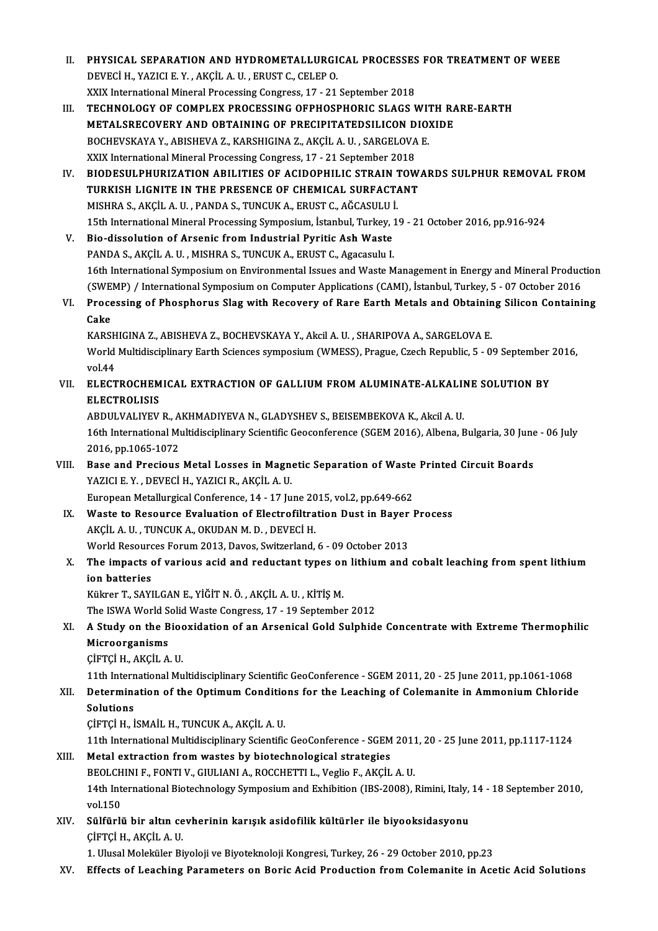II. PHYSICAL SEPARATION AND HYDROMETALLURGICAL PROCESSES FOR TREATMENT OF WEEE DEVECİH.,YAZICIE.Y. ,AKÇİLA.U. ,ERUSTC.,CELEPO. XXIX International Mineral Processing Congress, 17 - 21 September 2018 III. TECHNOLOGY OF COMPLEX PROCESSING OFPHOSPHORIC SLAGS WITH RARE-EARTH METALSRECOVERY AND OBTAINING OF PRECIPITATEDSILICON DIOXIDE TECHNOLOGY OF COMPLEX PROCESSING OFPHOSPHORIC SLAGS WIT<br>METALSRECOVERY AND OBTAINING OF PRECIPITATEDSILICON DIO:<br>BOCHEVSKAYA Y., ABISHEVA Z., KARSHIGINA Z., AKÇİL A. U. , SARGELOVA E.<br>YYIY International Mineral Processing METALSRECOVERY AND OBTAINING OF PRECIPITATEDSILICON D<br>BOCHEVSKAYA Y., ABISHEVA Z., KARSHIGINA Z., AKÇİL A. U. , SARGELOVA<br>XXIX International Mineral Processing Congress, 17 - 21 September 2018<br>PIODESIJI PHIJBIZATION ABIJIT IV. BIODESULPHURIZATION ABILITIES OF ACIDOPHILIC STRAIN TOWARDS SULPHUR REMOVAL FROM XXIX International Mineral Processing Congress, 17 - 21 September 2018 BIODESULPHURIZATION ABILITIES OF ACIDOPHILIC STRAIN 1<br>TURKISH LIGNITE IN THE PRESENCE OF CHEMICAL SURFACT.<br>MISHRA S., AKÇİL A. U. , PANDA S., TUNCUK A., ERUST C., AĞCASULU İ.<br>15th International Mineral Processing Sumposium 15th International Mineral Processing Symposium, İstanbul, Turkey, 19 - 21 October 2016, pp.916-924<br>V. Bio-dissolution of Arsenic from Industrial Pyritic Ash Waste MISHRA S., AKÇİL A. U., PANDA S., TUNCUK A., ERUST C., AĞCASULU 1<br>15th International Mineral Processing Symposium, İstanbul, Turkey, 2<br>V. Bio-dissolution of Arsenic from Industrial Pyritic Ash Waste PANDA S., AKÇİL A. U., MISHRA S., TUNCUK A., ERUST C., Agacasulu I. Bio-dissolution of Arsenic from Industrial Pyritic Ash Waste<br>PANDA S., AKÇİL A. U. , MISHRA S., TUNCUK A., ERUST C., Agacasulu I.<br>16th International Symposium on Environmental Issues and Waste Management in Energy and Mine PANDA S., AKÇİL A. U. , MISHRA S., TUNCUK A., ERUST C., Agacasulu I.<br>16th International Symposium on Environmental Issues and Waste Management in Energy and Mineral Produc<br>(SWEMP) / International Symposium on Computer Appl 16th International Symposium on Environmental Issues and Waste Management in Energy and Mineral Production (SWEMP) / International Symposium on Computer Applications (CAMI), İstanbul, Turkey, 5 - 07 October 2016<br>VI. Proces (SWEMP) / International Symposium on Computer Applications (CAMI), İstanbul, Turkey, 5 - 07 October 2016<br>Processing of Phosphorus Slag with Recovery of Rare Earth Metals and Obtaining Silicon Containi<br>Cake<br>KARSHIGINA Z., A VI. Processing of Phosphorus Slag with Recovery of Rare Earth Metals and Obtaining Silicon Containing Cake<br>KARSHIGINA Z., ABISHEVA Z., BOCHEVSKAYA Y., Akcil A. U. , SHARIPOVA A., SARGELOVA E.<br>World Multidisciplinary Earth Sciences symposium (WMESS), Prague, Czech Republic, 5 - 09 September 2016,<br>vol.44 KARSH<br>World<br>vol.44<br>ELECT World Multidisciplinary Earth Sciences symposium (WMESS), Prague, Czech Republic, 5 - 09 September<br>v0.44<br>VII. ELECTROCHEMICAL EXTRACTION OF GALLIUM FROM ALUMINATE-ALKALINE SOLUTION BY vol.44<br>VII. ELECTROCHEMICAL EXTRACTION OF GALLIUM FROM ALUMINATE-ALKALINE SOLUTION BY<br>ELECTROLISIS ELECTROCHEMICAL EXTRACTION OF GALLIUM FROM ALUMINATE-ALKALII<br>ELECTROLISIS<br>ABDULVALIYEV R., AKHMADIYEVA N., GLADYSHEV S., BEISEMBEKOVA K., Akcil A. U.<br>16th International Multidisciplinary Scientific Cocconference (SCEM 2016 16th International Multidisciplinary Scientific Geoconference (SGEM 2016), Albena, Bulgaria, 30 June - 06 July<br>2016, pp.1065-1072 ABDULVALIYEV R., A<br>16th International Mu<br>2016, pp.1065-1072<br>Base and Bresiaus 16th International Multidisciplinary Scientific Geoconference (SGEM 2016), Albena, Bulgaria, 30 June<br>2016, pp.1065-1072<br>VIII. Base and Precious Metal Losses in Magnetic Separation of Waste Printed Circuit Boards<br>2021CLE V. 2016, pp.1065-1072<br>Base and Precious Metal Losses in Magne<br>YAZICI E. Y. , DEVECÌ H., YAZICI R., AKÇİL A. U.<br>European Metallurgical Conference, 14, 17 Ju YAZICI E. Y., DEVECI H., YAZICI R., AKÇIL A. U.<br>European Metallurgical Conference, 14 - 17 June 2015, vol.2, pp.649-662 YAZICI E. Y., DEVECI H., YAZICI R., AKÇIL A. U.<br>European Metallurgical Conference, 14 - 17 June 2015, vol.2, pp.649-662<br>IX. Waste to Resource Evaluation of Electrofiltration Dust in Bayer Process European Metallurgical Conference, 14 - 17 June 20<br>Waste to Resource Evaluation of Electrofiltra<br>AKÇİL A. U. , TUNCUK A., OKUDAN M. D. , DEVECİ H.<br>Warld Beseurses Ferum 2012, Deves, Suitrerland Waste to Resource Evaluation of Electrofiltration Dust in Bayer<br>AKÇİL A. U. , TUNCUK A., OKUDAN M. D. , DEVECİ H.<br>World Resources Forum 2013, Davos, Switzerland, 6 - 09 October 2013<br>The impacts of various asid and reductan AKÇİL A. U. , TUNCUK A., OKUDAN M. D. , DEVECİ H.<br>World Resources Forum 2013, Davos, Switzerland, 6 - 09 October 2013<br>X. The impacts of various acid and reductant types on lithium and cobalt leaching from spent lithium World Resourd<br>The impacts of<br>ion batteries<br>Külmor T. SAVI The impacts of various acid and reductant types or<br>ion batteries<br>Kükrer T., SAYILGAN E., YİĞİT N. Ö. , AKÇİL A. U. , KİTİŞ M.<br>The ISWA World Solid Weste Congress, 17 , 19 Sentembe ion batteries<br>Kükrer T., SAYILGAN E., YİĞİT N. Ö. , AKÇİL A. U. , KİTİŞ M.<br>The ISWA World Solid Waste Congress, 17 - 19 September 2012<br>A Study on the Bioevidation of an Arsenisal Gold Sulphid. Kükrer T., SAYILGAN E., YİĞİT N. Ö. , AKÇİL A. U. , KİTİŞ M.<br>The ISWA World Solid Waste Congress, 17 - 19 September 2012<br>XI. A Study on the Biooxidation of an Arsenical Gold Sulphide Concentrate with Extreme Thermophil The ISWA World S<br>**A Study on the B<br>Microorganisms**<br>C<sup>ierci H AKCILA</sup> ÇİFTÇİH.,AKÇİLA.U. Microorganisms<br>ÇİFTÇİ H., AKÇİL A. U.<br>11th International Multidisciplinary Scientific GeoConference - SGEM 2011, 20 - 25 June 2011, pp.1061-1068<br>Determination of the Ontimum Conditions for the Leashing of Colomanite in Amm CIFTÇI H., AKÇIL A. U.<br>11th International Multidisciplinary Scientific GeoConference - SGEM 2011, 20 - 25 June 2011, pp.1061-1068<br>XII. Determination of the Optimum Conditions for the Leaching of Colemanite in Ammonium 11th Intern<br>Determina<br>Solutions<br>Cignoi uni Determination of the Optimum Conditio<br>Solutions<br>ÇİFTÇİ H., İSMAİL H., TUNCUK A., AKÇİL A. U.<br>11th International Multidissinlinery Scientific Solutions<br>ÇİFTÇİ H., İSMAİL H., TUNCUK A., AKÇİL A. U.<br>11th International Multidisciplinary Scientific GeoConference - SGEM 2011, 20 - 25 June 2011, pp.1117-1124<br>Metal extraction from wastes by bioteshnelesisel stratesies. CIFTCI H., ISMAIL H., TUNCUK A., AKCIL A. U.<br>11th International Multidisciplinary Scientific GeoConference - SGEM<br>XIII. Metal extraction from wastes by biotechnological strategies 11th International Multidisciplinary Scientific GeoConference - SGEM 2011<br>Metal extraction from wastes by biotechnological strategies<br>BEOLCHINI F., FONTI V., GIULIANI A., ROCCHETTI L., Veglio F., AKÇİL A. U.<br>14th Internati 14th International Biotechnology Symposium and Exhibition (IBS-2008), Rimini, Italy, 14 - 18 September 2010, vol.150 BEOLCHINI F., FONTI V., GIULIANI A., ROCCHETTI L., Veglio F., AKÇİL A. U. 14th International Biotechnology Symposium and Exhibition (IBS-2008), Rimini, Italy,<br>vol.150<br>XIV. Sülfürlü bir altın cevherinin karışık asidofilik kültürler ile biyooksidasyonu<br>cirrci ya Akcit A II. vol.150<br>Sülfürlü bir altın ce<br>ÇİFTÇİ H., AKÇİL A. U.<br>1. Ulusal Malakülar Bi ÇİFTÇİ H., AKÇİL A. U.<br>1. Ulusal Moleküler Biyoloji ve Biyoteknoloji Kongresi, Turkey, 26 - 29 October 2010, pp.23 XV. Effects of Leaching Parameters on Boric Acid Production fromColemanite in Acetic Acid Solutions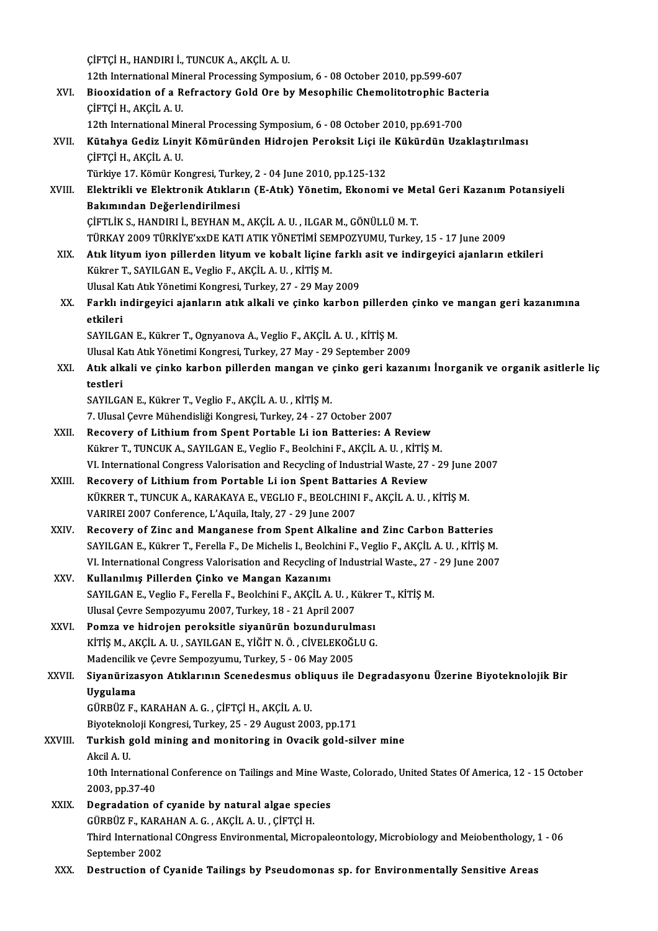ÇİFTÇİH.,HANDIRI İ.,TUNCUKA.,AKÇİLA.U. CIFTÇI H., HANDIRI İ., TUNCUK A., AKÇİL A. U.<br>12th International Mineral Processing Symposium, 6 - 08 October 2010, pp.599-607<br>Bioquidation of a Befrastony Cold Ore by Mesophilis Chamelitatraphis Bes CIFTÇI H., HANDIRI İ., TUNCUK A., AKÇİL A. U.<br>12th International Mineral Processing Symposium, 6 - 08 October 2010, pp.599-607<br>XVI. Biooxidation of a Refractory Gold Ore by Mesophilic Chemolitotrophic Bacteria<br>CUETCI H. AK 12th International Min<br>Biooxidation of a R<br>ÇİFTÇİ H., AKÇİL A. U.<br>12th International Min Biooxidation of a Refractory Gold Ore by Mesophilic Chemolitotrophic Bac<br>CİFTÇİ H., AKÇİL A. U.<br>12th International Mineral Processing Symposium, 6 - 08 October 2010, pp.691-700<br>Kütabya Codiz Linyit Kömüründen Hidroien Bere CİFTÇİ H., AKÇİL A. U.<br>12th International Mineral Processing Symposium, 6 - 08 October 2010, pp.691-700<br>XVII. Kütahya Gediz Linyit Kömüründen Hidrojen Peroksit Liçi ile Kükürdün Uzaklaştırılması<br>CİFTÇİ H. AKÇİL A. H 12th International Mineral Processing Symposium, 6 - 08 October 2010, pp.691-700<br>Kütahya Gediz Linyit Kömüründen Hidrojen Peroksit Liçi ile Kükürdün Uza<br>ÇİFTÇİ H., AKÇİL A. U.<br>Türkiye 17. Kömür Kongresi, Turkey, 2 - 04 Jun Kütahya Gediz Linyit Kömüründen Hidrojen Peroksit Liçi ile<br>ÇİFTÇİ H., AKÇİL A. U.<br>Türkiye 17. Kömür Kongresi, Turkey, 2 - 04 June 2010, pp.125-132<br>Flaktrikli ve Elektronik Atıkların (E.Atık) Vönetim, Ekonomi ÇİFTÇİ H., AKÇİL A. U.<br>Türkiye 17. Kömür Kongresi, Turkey, 2 - 04 June 2010, pp.125-132<br>XVIII. Elektrikli ve Elektronik Atıkların (E-Atık) Yönetim, Ekonomi ve Metal Geri Kazanım Potansiyeli<br>Pakımından Dağarlandirilmesi Türkiye 17. Kömür Kongresi, Turk<br>Elektrikli ve Elektronik Atıklar<br>Bakımından Değerlendirilmesi<br>Cirri iv s. HANDIBLİ, REVHAN M Elektrikli ve Elektronik Atıkların (E-Atık) Yönetim, Ekonomi ve Me<br>Bakımından Değerlendirilmesi<br>ÇİFTLİK S., HANDIRI İ., BEYHAN M., AKÇİL A. U. , ILGAR M., GÖNÜLLÜ M. T.<br>TÜRKAV 2009 TÜRKİVE'ARDE KATI ATIK YÖNETİMİ SEMBOZYUM Bakımından Değerlendirilmesi<br>ÇİFTLİK S., HANDIRI İ., BEYHAN M., AKÇİL A. U. , ILGAR M., GÖNÜLLÜ M. T.<br>TÜRKAY 2009 TÜRKİYE'xxDE KATI ATIK YÖNETİMİ SEMPOZYUMU, Turkey, 15 - 17 June 2009 XIX. Atık lityum iyon pillerden lityum ve kobalt liçine farklı asit ve indirgeyici ajanların etkileri Kükrer T., SAYILGAN E., Veglio F., AKÇİL A. U., KİTİŞ M. Atık lityum iyon pillerden lityum ve kobalt liçine farklı<br>Kükrer T., SAYILGAN E., Veglio F., AKÇİL A. U. , KİTİŞ M.<br>Ulusal Katı Atık Yönetimi Kongresi, Turkey, 27 - 29 May 2009<br>Farklı indingevisi ajanların atık alkali ve s Kükrer T., SAYILGAN E., Veglio F., AKÇİL A. U. , KİTİŞ M.<br>Ulusal Katı Atık Yönetimi Kongresi, Turkey, 27 - 29 May 2009<br>XX. Farklı indirgeyici ajanların atık alkali ve çinko karbon pillerden çinko ve mangan geri kazanım Ulusal K<br>**Farklı i**l<br>etkileri<br>savu ca Farklı indirgeyici ajanların atık alkali ve çinko karbon pillerde<br>etkileri<br>SAYILGAN E., Kükrer T., Ognyanova A., Veglio F., AKÇİL A. U. , KİTİŞ M.<br>Ulusel Ket Atık Yönetimi Kongresi Turkey, 27 Mey., 29 Sentember 20 etkileri<br>SAYILGAN E., Kükrer T., Ognyanova A., Veglio F., AKÇİL A. U. , KİTİŞ M.<br>Ulusal Katı Atık Yönetimi Kongresi, Turkey, 27 May - 29 September 2009 SAYILGAN E., Kükrer T., Ognyanova A., Veglio F., AKÇİL A. U. , KİTİŞ M.<br>Ulusal Katı Atık Yönetimi Kongresi, Turkey, 27 May - 29 September 2009<br>XXI. Atık alkali ve çinko karbon pillerden mangan ve çinko geri kazanımı İn Ulusal K<br><mark>Atık alk</mark><br>testleri<br>SAVII CA Atık alkali ve çinko karbon pillerden mangan ve (<br>testleri<br>SAYILGAN E., Kükrer T., Veglio F., AKÇİL A. U. , KİTİŞ M.<br>7. Hlusel Cevre Mühendisliği Kongresi Turkev, 24., 27. ( testleri<br>SAYILGAN E., Kükrer T., Veglio F., AKÇİL A. U. , KİTİŞ M.<br>7. Ulusal Çevre Mühendisliği Kongresi, Turkey, 24 - 27 October 2007 SAYILGAN E., Kükrer T., Veglio F., AKÇİL A. U. , KİTİŞ M.<br>7. Ulusal Çevre Mühendisliği Kongresi, Turkey, 24 - 27 October 2007<br>XXII. Recovery of Lithium from Spent Portable Li ion Batteries: A Review<br>Külter T. TUNCUK A. 7. Ulusal Çevre Mühendisliği Kongresi, Turkey, 24 - 27 October 2007<br>Recovery of Lithium from Spent Portable Li ion Batteries: A Review<br>Kükrer T., TUNCUK A., SAYILGAN E., Veglio F., Beolchini F., AKÇİL A. U. , KİTİŞ M.<br>VI. Recovery of Lithium from Spent Portable Li ion Batteries: A Review<br>Kükrer T., TUNCUK A., SAYILGAN E., Veglio F., Beolchini F., AKÇİL A. U. , KİTİŞ M.<br>VI. International Congress Valorisation and Recycling of Industrial Wast Kükrer T., TUNCUK A., SAYILGAN E., Veglio F., Beolchini F., AKÇİL A. U. , KİTİŞ M.<br>VI. International Congress Valorisation and Recycling of Industrial Waste, 27 - 29 June<br>XXIII. Recovery of Lithium from Portable Li ion VI. International Congress Valorisation and Recycling of Industrial Waste, 27 - 29 June<br>Recovery of Lithium from Portable Li ion Spent Battaries A Review<br>KÜKRER T., TUNCUK A., KARAKAYA E., VEGLIO F., BEOLCHINI F., AKÇİL A. VARIREI2007Conference,L'Aquila, Italy,27 -29 June 2007 KÜKRER T., TUNCUK A., KARAKAYA E., VEGLIO F., BEOLCHINI F., AKÇİL A. U. , KİTİŞ M.<br>VARIREI 2007 Conference, L'Aquila, Italy, 27 - 29 June 2007<br>XXIV. Recovery of Zinc and Manganese from Spent Alkaline and Zinc Carbon Batter VARIREI 2007 Conference, L'Aquila, Italy, 27 - 29 June 2007<br>Recovery of Zinc and Manganese from Spent Alkaline and Zinc Carbon Batteries<br>SAYILGAN E., Kükrer T., Ferella F., De Michelis I., Beolchini F., Veglio F., AKÇİL A. Recovery of Zinc and Manganese from Spent Alkaline and Zinc Carbon Batteries<br>SAYILGAN E., Kükrer T., Ferella F., De Michelis I., Beolchini F., Veglio F., AKÇİL A. U. , KİTİŞ M.<br>VI. International Congress Valorisation and R SAYILGAN E., Kükrer T., Ferella F., De Michelis I., Beolchini F., Veglio F., AKÇİL A. U. , KİTİŞ M.<br>VI. International Congress Valorisation and Recycling of Industrial Waste., 27 - 29 June 2007<br>XXV. **Kullanılmış Piller** VI. International Congress Valorisation and Recycling of Industrial Waste., 27 -<br>Kullanılmış Pillerden Çinko ve Mangan Kazanımı<br>SAYILGAN E., Veglio F., Ferella F., Beolchini F., AKÇİL A. U. , Kükrer T., KİTİŞ M.<br>Ulusal Cay UlusalÇevre Sempozyumu 2007,Turkey,18 -21April2007 XXVI. Pomza ve hidrojen peroksitle siyanürün bozundurulması KİTİŞM.,AKÇİLA.U. ,SAYILGANE.,YİĞİTN.Ö. ,CİVELEKOĞLUG. Pomza ve hidrojen peroksitle siyanürün bozunduruln<br>KİTİŞ M., AKÇİL A. U. , SAYILGAN E., YİĞİT N. Ö. , CİVELEKOĞI<br>Madencilik ve Çevre Sempozyumu, Turkey, 5 - 06 May 2005<br>Siyanürizasıyan Atıklarının Ssanadasmus ahliquus ile XXVII. Siyanürizasyon Atıklarının Scenedesmus obliquus ile Degradasyonu Üzerine Biyoteknolojik Bir<br>Uygulama Madencilik<br><mark>Siyanüriza</mark><br>Uygulama<br>Cüppüz E GÜRBÜZ F.,KARAHANA.G. ,ÇİFTÇİH.,AKÇİLA.U. <mark>Uygulama</mark><br>GÜRBÜZ F., KARAHAN A. G. , ÇİFTÇİ H., AKÇİL A. U.<br>Biyoteknoloji Kongresi, Turkey, 25 - 29 August 2003, pp.171<br>Turkish sold mining and menitoring in Qyesik sold sil XXVIII. Turkish gold mining and monitoring in Ovacik gold-silver mine<br>Akcil A.U. Biyotekno<br>**Turkish**<br>Akcil A. U.<br>10th Inter 10th International Conference on Tailings and Mine Waste, Colorado, United States Of America, 12 - 15 October 2003,pp.37-40 XXIX. Degradation of cyanide by natural algae species 2003, pp.37-40<br>Degradation of cyanide by natural algae spec<br>GÜRBÜZ F., KARAHAN A. G. , AKÇİL A. U. , ÇİFTÇİ H.<br>Third International COngress Envirenmental Misro Third International COngress Environmental, Micropaleontology, Microbiology and Meiobenthology, 1 - 06<br>September 2002 GÜRBÜZ F., KARA<br>Third Internation<br>September 2002<br>Destruction of t XXX. Destruction of Cyanide Tailings by Pseudomonas sp. for Environmentally Sensitive Areas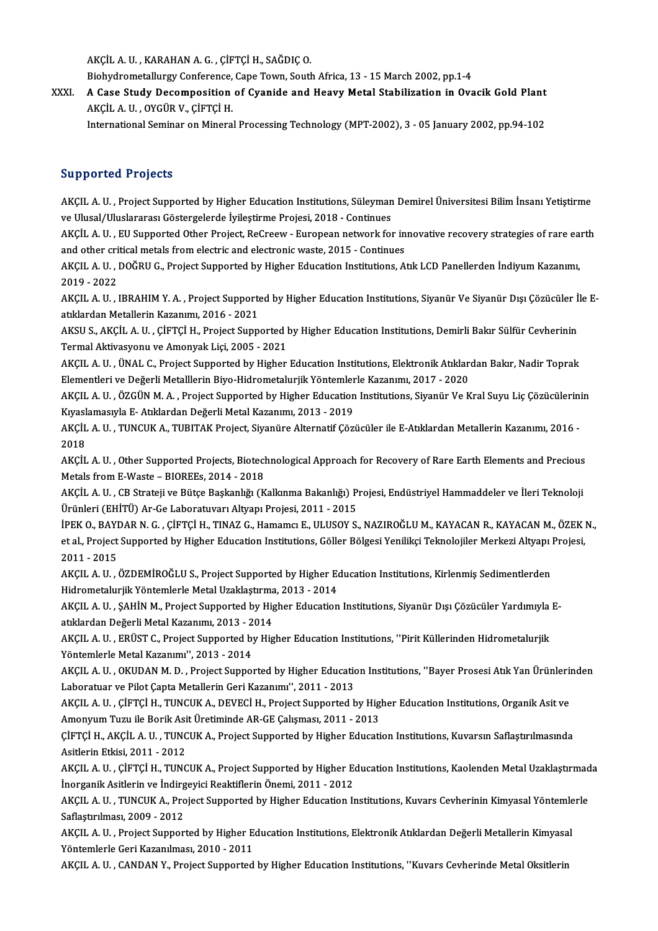AKÇİLA.U. ,KARAHANA.G. ,ÇİFTÇİH.,SAĞDIÇO.

Biohydrometallurgy Conference, Cape Town, South Africa, 13 - 15 March 2002, pp.1-4

XXXI. A Case Study Decomposition of Cyanide and Heavy Metal Stabilization in Ovacik Gold Plant AKÇİLA.U. ,OYGÜRV.,ÇİFTÇİH.

International Seminar on Mineral Processing Technology (MPT-2002), 3 - 05 January 2002, pp.94-102

### Supported Projects

Supported Projects<br>AKÇIL A. U. , Project Supported by Higher Education Institutions, Süleyman Demirel Üniversitesi Bilim İnsanı Yetiştirme<br>ve Ulusal (Uluslarares: Gösterselerde İyilestirme Prejesi, 2018 - Centinues va p p or tour in o joues<br>AKÇIL A. U. , Project Supported by Higher Education Institutions, Süleyman<br>ve Ulusal/Uluslararası Göstergelerde İyileştirme Projesi, 2018 - Continues<br>AKÇİL A. U. , EU Supported Other Project, BeCr AKÇIL A. U. , Project Supported by Higher Education Institutions, Süleyman Demirel Üniversitesi Bilim İnsanı Yetiştirme<br>ve Ulusal/Uluslararası Göstergelerde İyileştirme Projesi, 2018 - Continues<br>AKÇİL A. U. , EU Supported

ve Ulusal/Uluslararası Göstergelerde İyileştirme Projesi, 2018 - Continues<br>AKÇİL A. U. , EU Supported Other Project, ReCreew - European network for in<br>and other critical metals from electric and electronic waste, 2015 - Co AKÇİL A. U. , EU Supported Other Project, ReCreew - European network for innovative recovery strategies of rare ea<br>and other critical metals from electric and electronic waste, 2015 - Continues<br>AKÇIL A. U. , DOĞRU G., Proj

and other critical metals from electric and electronic waste, 2015 - Continues<br>AKÇIL A. U. , DOĞRU G., Project Supported by Higher Education Institutions, Atık LCD Panellerden İndiyum Kazanımı,<br>2019 - 2022 AKÇIL A. U. , DOĞRU G., Project Supported by Higher Education Institutions, Atık LCD Panellerden İndiyum Kazanımı,<br>2019 - 2022<br>AKÇIL A. U. , IBRAHIM Y. A. , Project Supported by Higher Education Institutions, Siyanür Ve Si

2019 - 2022<br>AKÇIL A. U. , IBRAHIM Y. A. , Project Supporte<br>atıklardan Metallerin Kazanımı, 2016 - 2021<br>AKSU S. AKÇİL A. U. GİFTÇİ H. Project Supp AKÇIL A. U. , IBRAHIM Y. A. , Project Supported by Higher Education Institutions, Siyanür Ve Siyanür Dışı Çözücüler İ<br>atıklardan Metallerin Kazanımı, 2016 - 2021<br>AKSU S., AKÇİL A. U. , ÇİFTÇİ H., Project Supported by Highe

atıklardan Metallerin Kazanımı, 2016 - 2021<br>AKSU S., AKÇİL A. U. , ÇİFTÇİ H., Project Supported l<br>Termal Aktivasyonu ve Amonyak Liçi, 2005 - 2021<br>AKÇU A. U., ÜNAL G. Project Supported bu Hisbor AKSU S., AKÇİL A. U. , ÇİFTÇİ H., Project Supported by Higher Education Institutions, Demirli Bakır Sülfür Cevherinin<br>Termal Aktivasyonu ve Amonyak Liçi, 2005 - 2021<br>AKÇIL A. U. , ÜNAL C., Project Supported by Higher Educa

Termal Aktivasyonu ve Amonyak Liçi, 2005 - 2021<br>AKÇIL A. U. , ÜNAL C., Project Supported by Higher Education Institutions, Elektronik Atıklardan Bakır, Nadir Toprak Elementleri ve Değerli Metalllerin Biyo-Hidrometalurjik Yöntemlerle Kazanımı, 2017 - 2020

AKÇIL A. U. , ÖZGÜN M. A. , Project Supported by Higher Education Institutions, Siyanür Ve Kral Suyu Liç Çözücülerinin<br>Kıyaslamasıyla E- Atıklardan Değerli Metal Kazanımı, 2013 - 2019 AKÇIL A. U. , ÖZGÜN M. A. , Project Supported by Higher Education Institutions, Siyanür Ve Kral Suyu Liç Çözücülerin<br>Kıyaslamasıyla E- Atıklardan Değerli Metal Kazanımı, 2013 - 2019<br>AKÇİL A. U. , TUNCUK A., TUBITAK Project

Kıyasl<br>AKÇİL<br>2018 AKÇİL A. U. , TUNCUK A., TUBITAK Project, Siyanüre Alternatif Çözücüler ile E-Atıklardan Metallerin Kazanımı, 2016 -<br>2018<br>AKÇİL A. U. , Other Supported Projects, Biotechnological Approach for Recovery of Rare Earth Element

2018<br>AKÇİL A. U. , Other Supported Projects, Biotecl<br>Metals from E-Waste – BIOREEs, 2014 - 2018<br>AKÇİL A. U. . CB Strateji ve Bütse Baskaplığı (K AKÇİL A. U. , Other Supported Projects, Biotechnological Approach for Recovery of Rare Earth Elements and Precious<br>Metals from E-Waste – BIOREEs, 2014 - 2018<br>AKÇİL A. U. , CB Strateji ve Bütçe Başkanlığı (Kalkınma Bakanlığ

Metals from E-Waste – BIOREEs, 2014 - 2018<br>AKÇİL A. U. , CB Strateji ve Bütçe Başkanlığı (Kalkınma Bakanlığı) Projesi, Endüstriyel Hammaddeler ve İleri Teknoloji<br>Ürünleri (EHİTÜ) Ar-Ge Laboratuvarı Altyapı Projesi, 2011 - AKÇİL A. U. , CB Strateji ve Bütçe Başkanlığı (Kalkınma Bakanlığı) Projesi, Endüstriyel Hammaddeler ve İleri Teknoloji<br>Ürünleri (EHİTÜ) Ar-Ge Laboratuvarı Altyapı Projesi, 2011 - 2015<br>İPEK O., BAYDAR N. G. , ÇİFTÇİ H., TIN

Ürünleri (EHİTÜ) Ar-Ge Laboratuvarı Altyapı Projesi, 2011 - 2015<br>İPEK O., BAYDAR N. G. , ÇİFTÇİ H., TINAZ G., Hamamcı E., ULUSOY S., NAZIROĞLU M., KAYACAN R., KAYACAN M., ÖZEK<br>et al., Project Supported by Higher Education **PEK O., BAYI**<br>et al., Project<br>2011 - 2015<br>AKCU A. U. et al., Project Supported by Higher Education Institutions, Göller Bölgesi Yenilikçi Teknolojiler Merkezi Altyapı Projesi,<br>2011 - 2015<br>AKÇIL A. U. , ÖZDEMİROĞLU S., Project Supported by Higher Education Institutions, Kirle

AKÇIL A. U., ÖZDEMİROĞLU S., Project Supported by Higher Education Institutions, Kirlenmiş Sedimentlerden AKÇIL A. U. , ÖZDEMİROĞLU S., Project Supported by Higher Education Institutions, Kirlenmiş Sedimentlerden<br>Hidrometalurjik Yöntemlerle Metal Uzaklaştırma, 2013 - 2014<br>AKÇIL A. U. , ŞAHİN M., Project Supported by Higher Edu

Hidrometalurjik Yöntemlerle Metal Uzaklaştırma<br>AKÇIL A. U. , ŞAHİN M., Project Supported by Hig<br>atıklardan Değerli Metal Kazanımı, 2013 - 2014<br>AKÇIL A. U. , EPÜST G. Project Supported by Hig AKÇIL A. U. , ŞAHİN M., Project Supported by Higher Education Institutions, Siyanür Dışı Çözücüler Yardımıyla<br>atıklardan Değerli Metal Kazanımı, 2013 - 2014<br>AKÇIL A. U. , ERÜST C., Project Supported by Higher Education Ins

atıklardan Değerli Metal Kazanımı, 2013 - 2014<br>AKÇIL A. U. , ERÜST C., Project Supported by Higher Education Institutions, ''Pirit Küllerinden Hidrometalurjik<br>Yöntemlerle Metal Kazanımı'', 2013 - 2014 AKÇIL A. U. , ERÜST C., Project Supported by Higher Education Institutions, ''Pirit Küllerinden Hidrometalurjik<br>Yöntemlerle Metal Kazanımı'', 2013 - 2014<br>AKÇIL A. U. , OKUDAN M. D. , Project Supported by Higher Education I

Yöntemlerle Metal Kazanımı'', 2013 - 2014<br>AKÇIL A. U. , OKUDAN M. D. , Project Supported by Higher Education<br>Laboratuar ve Pilot Çapta Metallerin Geri Kazanımı'', 2011 - 2013<br>AKÇIL A. U. , CİETÇİ H. TUNCUK A. DEVEÇİ H. Pro AKÇIL A. U. , OKUDAN M. D. , Project Supported by Higher Education Institutions, ''Bayer Prosesi Atık Yan Ürünleri<br>Laboratuar ve Pilot Çapta Metallerin Geri Kazanımı'', 2011 - 2013<br>AKÇIL A. U. , ÇİFTÇİ H., TUNCUK A., DEVEC Laboratuar ve Pilot Çapta Metallerin Geri Kazanımı'', 2011 - 2013<br>AKÇIL A. U. , ÇİFTÇİ H., TUNCUK A., DEVECİ H., Project Supported by Higher Education Institutions, Organik Asit ve

Amonyum Tuzu ile Borik Asit Üretiminde AR-GE Çalışması, 2011 - 2013

ÇİFTÇİ H., AKÇİL A. U. , TUNCUK A., Project Supported by Higher Education Institutions, Kuvarsın Saflaştırılmasında<br>Asitlerin Etkisi, 2011 - 2012 ÇİFTÇİ H., AKÇİL A. U. , TUNCUK A., Project Supported by Higher Education Institutions, Kuvarsın Saflaştırılmasında<br>Asitlerin Etkisi, 2011 - 2012<br>AKÇIL A. U. , ÇİFTÇİ H., TUNCUK A., Project Supported by Higher Education In

Asitlerin Etkisi, 2011 - 2012<br>AKÇIL A. U. , ÇİFTÇİ H., TUNCUK A., Project Supported by Higher Equation I.<br>İnorganik Asitlerin ve İndirgeyici Reaktiflerin Önemi, 2011 - 2012<br>AKÇIL A. U. , TUNCUK A. Project Supported by High AKÇIL A. U. , ÇİFTÇİ H., TUNCUK A., Project Supported by Higher Education Institutions, Kaolenden Metal Uzaklaştırmad<br>İnorganik Asitlerin ve İndirgeyici Reaktiflerin Önemi, 2011 - 2012<br>AKÇIL A. U. , TUNCUK A., Project Supp

İnorganik Asitlerin ve İndirg<br>AKÇIL A. U. , TUNCUK A., Pro<br>Saflaştırılması, 2009 - 2012<br>AKÇIL A. U. , Project Sunnor AKÇIL A. U. , TUNCUK A., Project Supported by Higher Education Institutions, Kuvars Cevherinin Kimyasal Yöntemle<br>Saflaştırılması, 2009 - 2012<br>AKÇIL A. U. , Project Supported by Higher Education Institutions, Elektronik Atı

Saflaştırılması, 2009 - 2012<br>AKÇIL A. U. , Project Supported by Higher E<br>Yöntemlerle Geri Kazanılması, 2010 - 2011<br>AKÇU A. U. , CANDAN Y. Project Supported AKÇIL A. U. , Project Supported by Higher Education Institutions, Elektronik Atıklardan Değerli Metallerin Kimyasa<br>Yöntemlerle Geri Kazanılması, 2010 - 2011<br>AKÇIL A. U. , CANDAN Y., Project Supported by Higher Education In